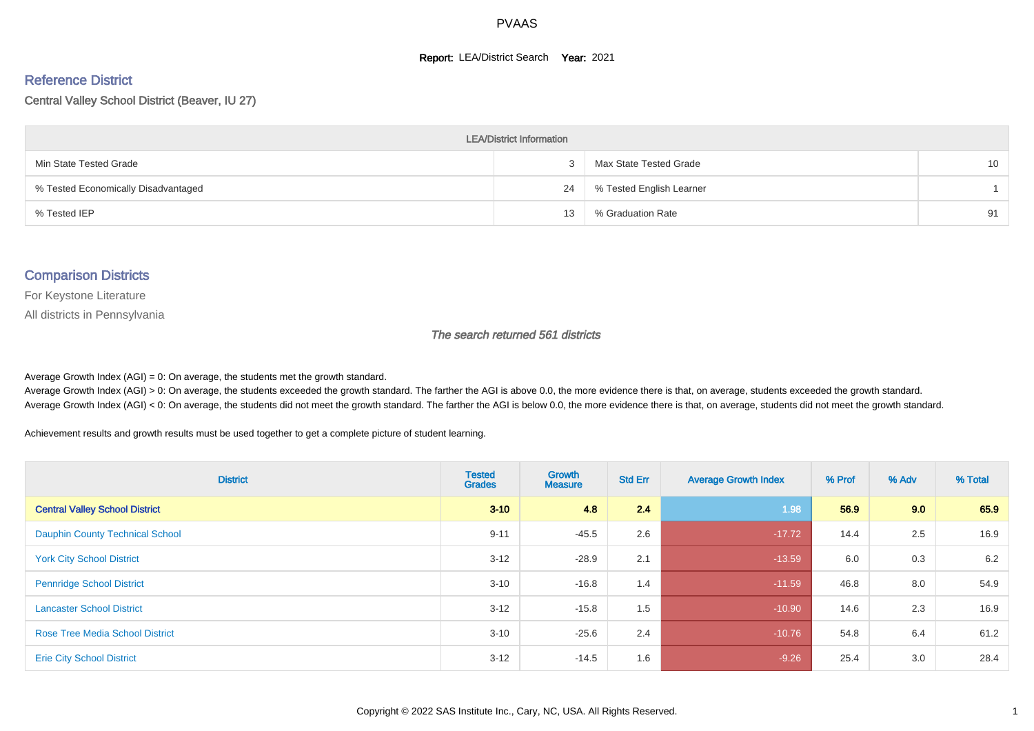#### **Report: LEA/District Search Year: 2021**

# Reference District

Central Valley School District (Beaver, IU 27)

| <b>LEA/District Information</b>     |    |                          |                 |  |  |  |  |  |  |  |
|-------------------------------------|----|--------------------------|-----------------|--|--|--|--|--|--|--|
| Min State Tested Grade              |    | Max State Tested Grade   | 10 <sup>1</sup> |  |  |  |  |  |  |  |
| % Tested Economically Disadvantaged | 24 | % Tested English Learner |                 |  |  |  |  |  |  |  |
| % Tested IEP                        | 13 | % Graduation Rate        | 91              |  |  |  |  |  |  |  |

#### Comparison Districts

For Keystone Literature

All districts in Pennsylvania

The search returned 561 districts

Average Growth Index  $(AGI) = 0$ : On average, the students met the growth standard.

Average Growth Index (AGI) > 0: On average, the students exceeded the growth standard. The farther the AGI is above 0.0, the more evidence there is that, on average, students exceeded the growth standard. Average Growth Index (AGI) < 0: On average, the students did not meet the growth standard. The farther the AGI is below 0.0, the more evidence there is that, on average, students did not meet the growth standard.

Achievement results and growth results must be used together to get a complete picture of student learning.

| <b>District</b>                        | <b>Tested</b><br><b>Grades</b> | <b>Growth</b><br><b>Measure</b> | <b>Std Err</b> | <b>Average Growth Index</b> | % Prof | % Adv | % Total |
|----------------------------------------|--------------------------------|---------------------------------|----------------|-----------------------------|--------|-------|---------|
| <b>Central Valley School District</b>  | $3 - 10$                       | 4.8                             | 2.4            | 1.98                        | 56.9   | 9.0   | 65.9    |
| <b>Dauphin County Technical School</b> | $9 - 11$                       | $-45.5$                         | 2.6            | $-17.72$                    | 14.4   | 2.5   | 16.9    |
| <b>York City School District</b>       | $3 - 12$                       | $-28.9$                         | 2.1            | $-13.59$                    | 6.0    | 0.3   | 6.2     |
| <b>Pennridge School District</b>       | $3 - 10$                       | $-16.8$                         | 1.4            | $-11.59$                    | 46.8   | 8.0   | 54.9    |
| <b>Lancaster School District</b>       | $3 - 12$                       | $-15.8$                         | 1.5            | $-10.90$                    | 14.6   | 2.3   | 16.9    |
| <b>Rose Tree Media School District</b> | $3 - 10$                       | $-25.6$                         | 2.4            | $-10.76$                    | 54.8   | 6.4   | 61.2    |
| <b>Erie City School District</b>       | $3 - 12$                       | $-14.5$                         | 1.6            | $-9.26$                     | 25.4   | 3.0   | 28.4    |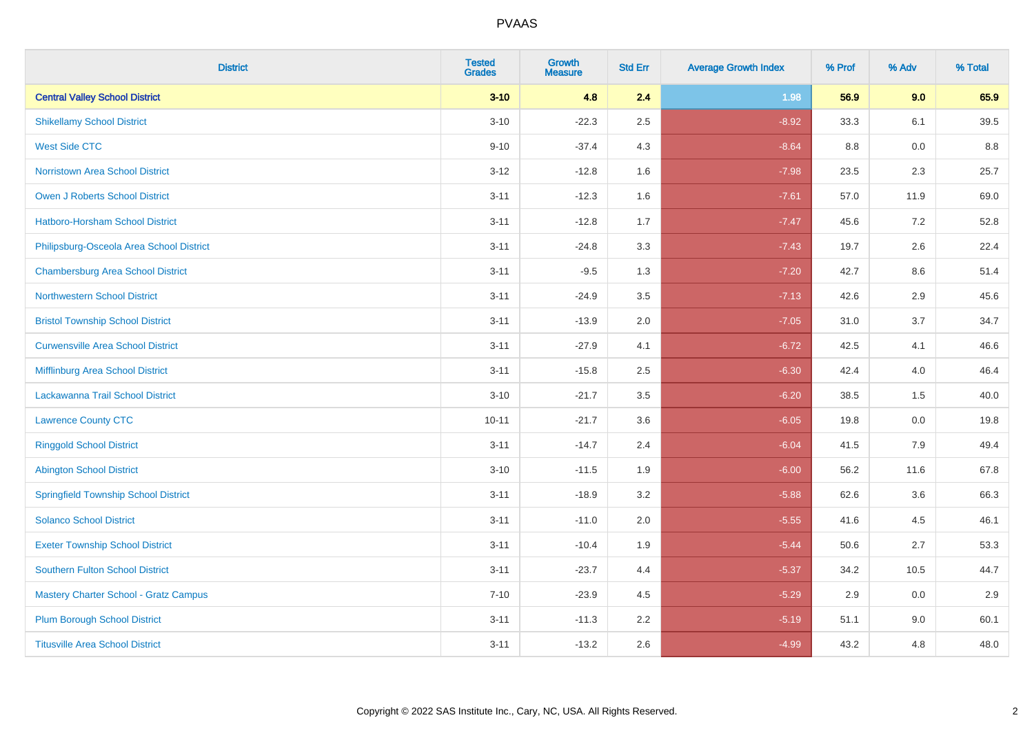| <b>District</b>                              | <b>Tested</b><br><b>Grades</b> | <b>Growth</b><br><b>Measure</b> | <b>Std Err</b> | <b>Average Growth Index</b> | % Prof | % Adv | % Total |
|----------------------------------------------|--------------------------------|---------------------------------|----------------|-----------------------------|--------|-------|---------|
| <b>Central Valley School District</b>        | $3 - 10$                       | 4.8                             | 2.4            | 1.98                        | 56.9   | 9.0   | 65.9    |
| <b>Shikellamy School District</b>            | $3 - 10$                       | $-22.3$                         | 2.5            | $-8.92$                     | 33.3   | 6.1   | 39.5    |
| <b>West Side CTC</b>                         | $9 - 10$                       | $-37.4$                         | 4.3            | $-8.64$                     | 8.8    | 0.0   | 8.8     |
| <b>Norristown Area School District</b>       | $3 - 12$                       | $-12.8$                         | 1.6            | $-7.98$                     | 23.5   | 2.3   | 25.7    |
| <b>Owen J Roberts School District</b>        | $3 - 11$                       | $-12.3$                         | 1.6            | $-7.61$                     | 57.0   | 11.9  | 69.0    |
| <b>Hatboro-Horsham School District</b>       | $3 - 11$                       | $-12.8$                         | 1.7            | $-7.47$                     | 45.6   | 7.2   | 52.8    |
| Philipsburg-Osceola Area School District     | $3 - 11$                       | $-24.8$                         | 3.3            | $-7.43$                     | 19.7   | 2.6   | 22.4    |
| <b>Chambersburg Area School District</b>     | $3 - 11$                       | $-9.5$                          | 1.3            | $-7.20$                     | 42.7   | 8.6   | 51.4    |
| <b>Northwestern School District</b>          | $3 - 11$                       | $-24.9$                         | 3.5            | $-7.13$                     | 42.6   | 2.9   | 45.6    |
| <b>Bristol Township School District</b>      | $3 - 11$                       | $-13.9$                         | 2.0            | $-7.05$                     | 31.0   | 3.7   | 34.7    |
| <b>Curwensville Area School District</b>     | $3 - 11$                       | $-27.9$                         | 4.1            | $-6.72$                     | 42.5   | 4.1   | 46.6    |
| Mifflinburg Area School District             | $3 - 11$                       | $-15.8$                         | 2.5            | $-6.30$                     | 42.4   | 4.0   | 46.4    |
| Lackawanna Trail School District             | $3 - 10$                       | $-21.7$                         | 3.5            | $-6.20$                     | 38.5   | 1.5   | 40.0    |
| <b>Lawrence County CTC</b>                   | $10 - 11$                      | $-21.7$                         | 3.6            | $-6.05$                     | 19.8   | 0.0   | 19.8    |
| <b>Ringgold School District</b>              | $3 - 11$                       | $-14.7$                         | 2.4            | $-6.04$                     | 41.5   | 7.9   | 49.4    |
| <b>Abington School District</b>              | $3 - 10$                       | $-11.5$                         | 1.9            | $-6.00$                     | 56.2   | 11.6  | 67.8    |
| <b>Springfield Township School District</b>  | $3 - 11$                       | $-18.9$                         | 3.2            | $-5.88$                     | 62.6   | 3.6   | 66.3    |
| <b>Solanco School District</b>               | $3 - 11$                       | $-11.0$                         | 2.0            | $-5.55$                     | 41.6   | 4.5   | 46.1    |
| <b>Exeter Township School District</b>       | $3 - 11$                       | $-10.4$                         | 1.9            | $-5.44$                     | 50.6   | 2.7   | 53.3    |
| <b>Southern Fulton School District</b>       | $3 - 11$                       | $-23.7$                         | 4.4            | $-5.37$                     | 34.2   | 10.5  | 44.7    |
| <b>Mastery Charter School - Gratz Campus</b> | $7 - 10$                       | $-23.9$                         | 4.5            | $-5.29$                     | 2.9    | 0.0   | 2.9     |
| <b>Plum Borough School District</b>          | $3 - 11$                       | $-11.3$                         | 2.2            | $-5.19$                     | 51.1   | 9.0   | 60.1    |
| <b>Titusville Area School District</b>       | $3 - 11$                       | $-13.2$                         | 2.6            | $-4.99$                     | 43.2   | 4.8   | 48.0    |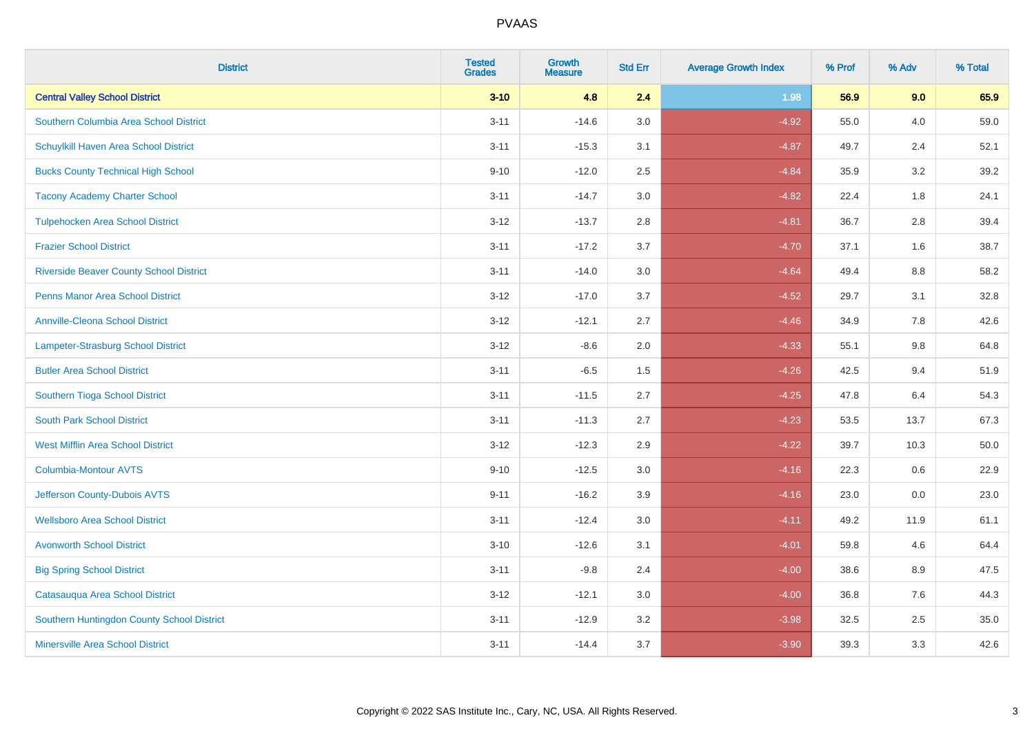| <b>District</b>                                | <b>Tested</b><br><b>Grades</b> | <b>Growth</b><br><b>Measure</b> | <b>Std Err</b> | <b>Average Growth Index</b> | % Prof | % Adv   | % Total |
|------------------------------------------------|--------------------------------|---------------------------------|----------------|-----------------------------|--------|---------|---------|
| <b>Central Valley School District</b>          | $3 - 10$                       | 4.8                             | 2.4            | 1.98                        | 56.9   | 9.0     | 65.9    |
| Southern Columbia Area School District         | $3 - 11$                       | $-14.6$                         | 3.0            | $-4.92$                     | 55.0   | 4.0     | 59.0    |
| Schuylkill Haven Area School District          | $3 - 11$                       | $-15.3$                         | 3.1            | $-4.87$                     | 49.7   | 2.4     | 52.1    |
| <b>Bucks County Technical High School</b>      | $9 - 10$                       | $-12.0$                         | 2.5            | $-4.84$                     | 35.9   | $3.2\,$ | 39.2    |
| <b>Tacony Academy Charter School</b>           | $3 - 11$                       | $-14.7$                         | 3.0            | $-4.82$                     | 22.4   | 1.8     | 24.1    |
| <b>Tulpehocken Area School District</b>        | $3 - 12$                       | $-13.7$                         | 2.8            | $-4.81$                     | 36.7   | 2.8     | 39.4    |
| <b>Frazier School District</b>                 | $3 - 11$                       | $-17.2$                         | 3.7            | $-4.70$                     | 37.1   | 1.6     | 38.7    |
| <b>Riverside Beaver County School District</b> | $3 - 11$                       | $-14.0$                         | 3.0            | $-4.64$                     | 49.4   | 8.8     | 58.2    |
| <b>Penns Manor Area School District</b>        | $3 - 12$                       | $-17.0$                         | 3.7            | $-4.52$                     | 29.7   | 3.1     | 32.8    |
| <b>Annville-Cleona School District</b>         | $3 - 12$                       | $-12.1$                         | 2.7            | $-4.46$                     | 34.9   | 7.8     | 42.6    |
| Lampeter-Strasburg School District             | $3 - 12$                       | $-8.6$                          | 2.0            | $-4.33$                     | 55.1   | 9.8     | 64.8    |
| <b>Butler Area School District</b>             | $3 - 11$                       | $-6.5$                          | 1.5            | $-4.26$                     | 42.5   | 9.4     | 51.9    |
| Southern Tioga School District                 | $3 - 11$                       | $-11.5$                         | 2.7            | $-4.25$                     | 47.8   | 6.4     | 54.3    |
| <b>South Park School District</b>              | $3 - 11$                       | $-11.3$                         | 2.7            | $-4.23$                     | 53.5   | 13.7    | 67.3    |
| <b>West Mifflin Area School District</b>       | $3 - 12$                       | $-12.3$                         | 2.9            | $-4.22$                     | 39.7   | 10.3    | 50.0    |
| <b>Columbia-Montour AVTS</b>                   | $9 - 10$                       | $-12.5$                         | 3.0            | $-4.16$                     | 22.3   | 0.6     | 22.9    |
| Jefferson County-Dubois AVTS                   | $9 - 11$                       | $-16.2$                         | 3.9            | $-4.16$                     | 23.0   | 0.0     | 23.0    |
| <b>Wellsboro Area School District</b>          | $3 - 11$                       | $-12.4$                         | 3.0            | $-4.11$                     | 49.2   | 11.9    | 61.1    |
| <b>Avonworth School District</b>               | $3 - 10$                       | $-12.6$                         | 3.1            | $-4.01$                     | 59.8   | 4.6     | 64.4    |
| <b>Big Spring School District</b>              | $3 - 11$                       | $-9.8$                          | 2.4            | $-4.00$                     | 38.6   | 8.9     | 47.5    |
| Catasauqua Area School District                | $3-12$                         | $-12.1$                         | 3.0            | $-4.00$                     | 36.8   | 7.6     | 44.3    |
| Southern Huntingdon County School District     | $3 - 11$                       | $-12.9$                         | 3.2            | $-3.98$                     | 32.5   | 2.5     | 35.0    |
| <b>Minersville Area School District</b>        | $3 - 11$                       | $-14.4$                         | 3.7            | $-3.90$                     | 39.3   | 3.3     | 42.6    |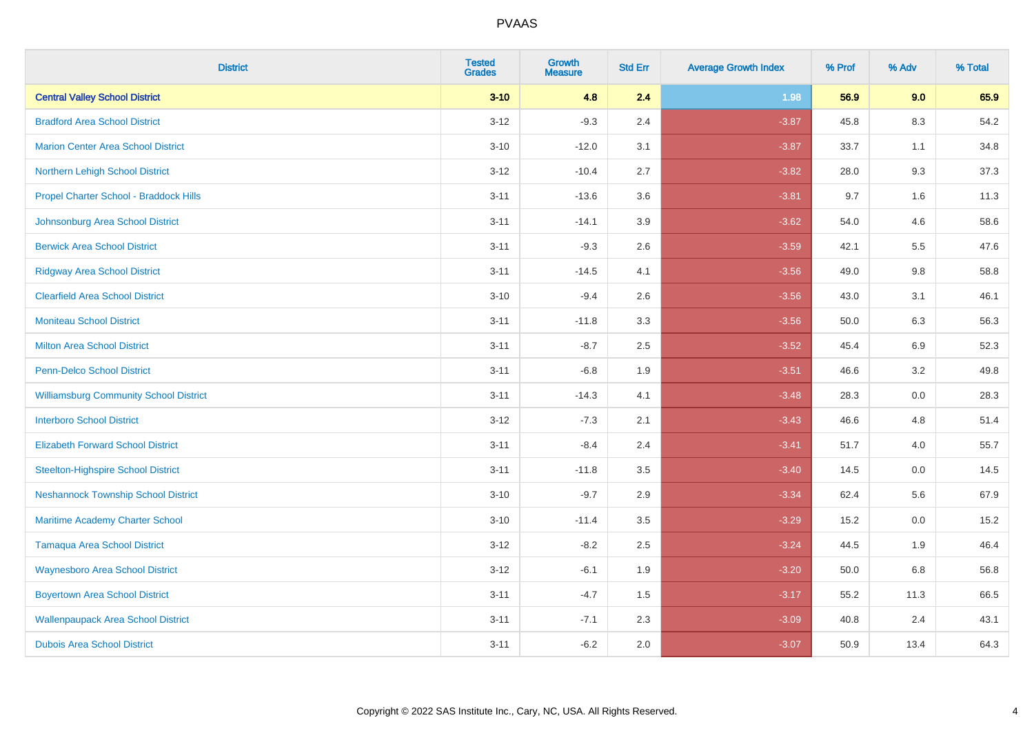| <b>District</b>                               | <b>Tested</b><br><b>Grades</b> | <b>Growth</b><br><b>Measure</b> | <b>Std Err</b> | <b>Average Growth Index</b> | % Prof | % Adv | % Total |
|-----------------------------------------------|--------------------------------|---------------------------------|----------------|-----------------------------|--------|-------|---------|
| <b>Central Valley School District</b>         | $3 - 10$                       | 4.8                             | 2.4            | 1.98                        | 56.9   | 9.0   | 65.9    |
| <b>Bradford Area School District</b>          | $3 - 12$                       | $-9.3$                          | 2.4            | $-3.87$                     | 45.8   | 8.3   | 54.2    |
| <b>Marion Center Area School District</b>     | $3 - 10$                       | $-12.0$                         | 3.1            | $-3.87$                     | 33.7   | 1.1   | 34.8    |
| Northern Lehigh School District               | $3 - 12$                       | $-10.4$                         | 2.7            | $-3.82$                     | 28.0   | 9.3   | 37.3    |
| Propel Charter School - Braddock Hills        | $3 - 11$                       | $-13.6$                         | 3.6            | $-3.81$                     | 9.7    | 1.6   | 11.3    |
| Johnsonburg Area School District              | $3 - 11$                       | $-14.1$                         | 3.9            | $-3.62$                     | 54.0   | 4.6   | 58.6    |
| <b>Berwick Area School District</b>           | $3 - 11$                       | $-9.3$                          | 2.6            | $-3.59$                     | 42.1   | 5.5   | 47.6    |
| <b>Ridgway Area School District</b>           | $3 - 11$                       | $-14.5$                         | 4.1            | $-3.56$                     | 49.0   | 9.8   | 58.8    |
| <b>Clearfield Area School District</b>        | $3 - 10$                       | $-9.4$                          | 2.6            | $-3.56$                     | 43.0   | 3.1   | 46.1    |
| Moniteau School District                      | $3 - 11$                       | $-11.8$                         | 3.3            | $-3.56$                     | 50.0   | 6.3   | 56.3    |
| <b>Milton Area School District</b>            | $3 - 11$                       | $-8.7$                          | 2.5            | $-3.52$                     | 45.4   | 6.9   | 52.3    |
| <b>Penn-Delco School District</b>             | $3 - 11$                       | $-6.8$                          | 1.9            | $-3.51$                     | 46.6   | 3.2   | 49.8    |
| <b>Williamsburg Community School District</b> | $3 - 11$                       | $-14.3$                         | 4.1            | $-3.48$                     | 28.3   | 0.0   | 28.3    |
| <b>Interboro School District</b>              | $3 - 12$                       | $-7.3$                          | 2.1            | $-3.43$                     | 46.6   | 4.8   | 51.4    |
| <b>Elizabeth Forward School District</b>      | $3 - 11$                       | $-8.4$                          | 2.4            | $-3.41$                     | 51.7   | 4.0   | 55.7    |
| <b>Steelton-Highspire School District</b>     | $3 - 11$                       | $-11.8$                         | 3.5            | $-3.40$                     | 14.5   | 0.0   | 14.5    |
| <b>Neshannock Township School District</b>    | $3 - 10$                       | $-9.7$                          | 2.9            | $-3.34$                     | 62.4   | 5.6   | 67.9    |
| Maritime Academy Charter School               | $3 - 10$                       | $-11.4$                         | 3.5            | $-3.29$                     | 15.2   | 0.0   | 15.2    |
| <b>Tamaqua Area School District</b>           | $3 - 12$                       | $-8.2$                          | 2.5            | $-3.24$                     | 44.5   | 1.9   | 46.4    |
| <b>Waynesboro Area School District</b>        | $3 - 12$                       | $-6.1$                          | 1.9            | $-3.20$                     | 50.0   | 6.8   | 56.8    |
| <b>Boyertown Area School District</b>         | $3 - 11$                       | $-4.7$                          | 1.5            | $-3.17$                     | 55.2   | 11.3  | 66.5    |
| <b>Wallenpaupack Area School District</b>     | $3 - 11$                       | $-7.1$                          | 2.3            | $-3.09$                     | 40.8   | 2.4   | 43.1    |
| <b>Dubois Area School District</b>            | $3 - 11$                       | $-6.2$                          | 2.0            | $-3.07$                     | 50.9   | 13.4  | 64.3    |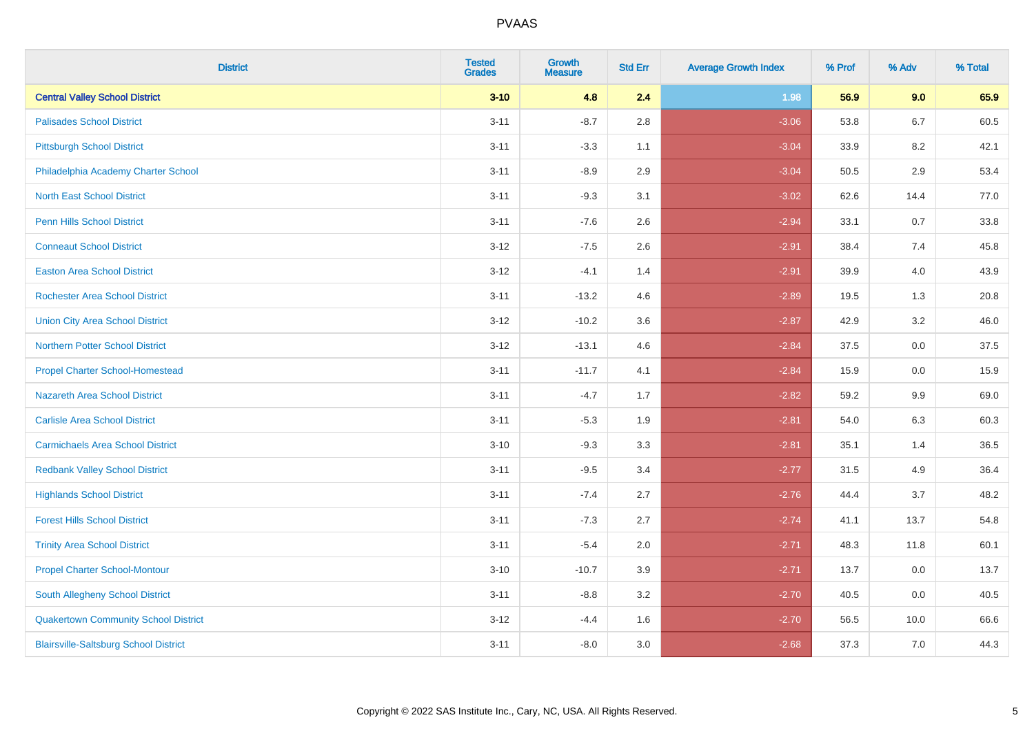| <b>District</b>                              | <b>Tested</b><br><b>Grades</b> | <b>Growth</b><br><b>Measure</b> | <b>Std Err</b> | <b>Average Growth Index</b> | % Prof | % Adv   | % Total |
|----------------------------------------------|--------------------------------|---------------------------------|----------------|-----------------------------|--------|---------|---------|
| <b>Central Valley School District</b>        | $3 - 10$                       | 4.8                             | 2.4            | 1.98                        | 56.9   | 9.0     | 65.9    |
| <b>Palisades School District</b>             | $3 - 11$                       | $-8.7$                          | 2.8            | $-3.06$                     | 53.8   | $6.7\,$ | 60.5    |
| <b>Pittsburgh School District</b>            | $3 - 11$                       | $-3.3$                          | 1.1            | $-3.04$                     | 33.9   | 8.2     | 42.1    |
| Philadelphia Academy Charter School          | $3 - 11$                       | $-8.9$                          | 2.9            | $-3.04$                     | 50.5   | 2.9     | 53.4    |
| <b>North East School District</b>            | $3 - 11$                       | $-9.3$                          | 3.1            | $-3.02$                     | 62.6   | 14.4    | 77.0    |
| <b>Penn Hills School District</b>            | $3 - 11$                       | $-7.6$                          | 2.6            | $-2.94$                     | 33.1   | 0.7     | 33.8    |
| <b>Conneaut School District</b>              | $3 - 12$                       | $-7.5$                          | 2.6            | $-2.91$                     | 38.4   | 7.4     | 45.8    |
| <b>Easton Area School District</b>           | $3-12$                         | $-4.1$                          | 1.4            | $-2.91$                     | 39.9   | 4.0     | 43.9    |
| Rochester Area School District               | $3 - 11$                       | $-13.2$                         | 4.6            | $-2.89$                     | 19.5   | 1.3     | 20.8    |
| <b>Union City Area School District</b>       | $3 - 12$                       | $-10.2$                         | 3.6            | $-2.87$                     | 42.9   | 3.2     | 46.0    |
| <b>Northern Potter School District</b>       | $3-12$                         | $-13.1$                         | 4.6            | $-2.84$                     | 37.5   | 0.0     | 37.5    |
| <b>Propel Charter School-Homestead</b>       | $3 - 11$                       | $-11.7$                         | 4.1            | $-2.84$                     | 15.9   | 0.0     | 15.9    |
| Nazareth Area School District                | $3 - 11$                       | $-4.7$                          | 1.7            | $-2.82$                     | 59.2   | 9.9     | 69.0    |
| <b>Carlisle Area School District</b>         | $3 - 11$                       | $-5.3$                          | 1.9            | $-2.81$                     | 54.0   | 6.3     | 60.3    |
| <b>Carmichaels Area School District</b>      | $3 - 10$                       | $-9.3$                          | 3.3            | $-2.81$                     | 35.1   | 1.4     | 36.5    |
| <b>Redbank Valley School District</b>        | $3 - 11$                       | $-9.5$                          | 3.4            | $-2.77$                     | 31.5   | 4.9     | 36.4    |
| <b>Highlands School District</b>             | $3 - 11$                       | $-7.4$                          | 2.7            | $-2.76$                     | 44.4   | 3.7     | 48.2    |
| <b>Forest Hills School District</b>          | $3 - 11$                       | $-7.3$                          | 2.7            | $-2.74$                     | 41.1   | 13.7    | 54.8    |
| <b>Trinity Area School District</b>          | $3 - 11$                       | $-5.4$                          | 2.0            | $-2.71$                     | 48.3   | 11.8    | 60.1    |
| <b>Propel Charter School-Montour</b>         | $3 - 10$                       | $-10.7$                         | 3.9            | $-2.71$                     | 13.7   | 0.0     | 13.7    |
| South Allegheny School District              | $3 - 11$                       | $-8.8$                          | 3.2            | $-2.70$                     | 40.5   | 0.0     | 40.5    |
| <b>Quakertown Community School District</b>  | $3-12$                         | $-4.4$                          | 1.6            | $-2.70$                     | 56.5   | 10.0    | 66.6    |
| <b>Blairsville-Saltsburg School District</b> | $3 - 11$                       | $-8.0$                          | 3.0            | $-2.68$                     | 37.3   | 7.0     | 44.3    |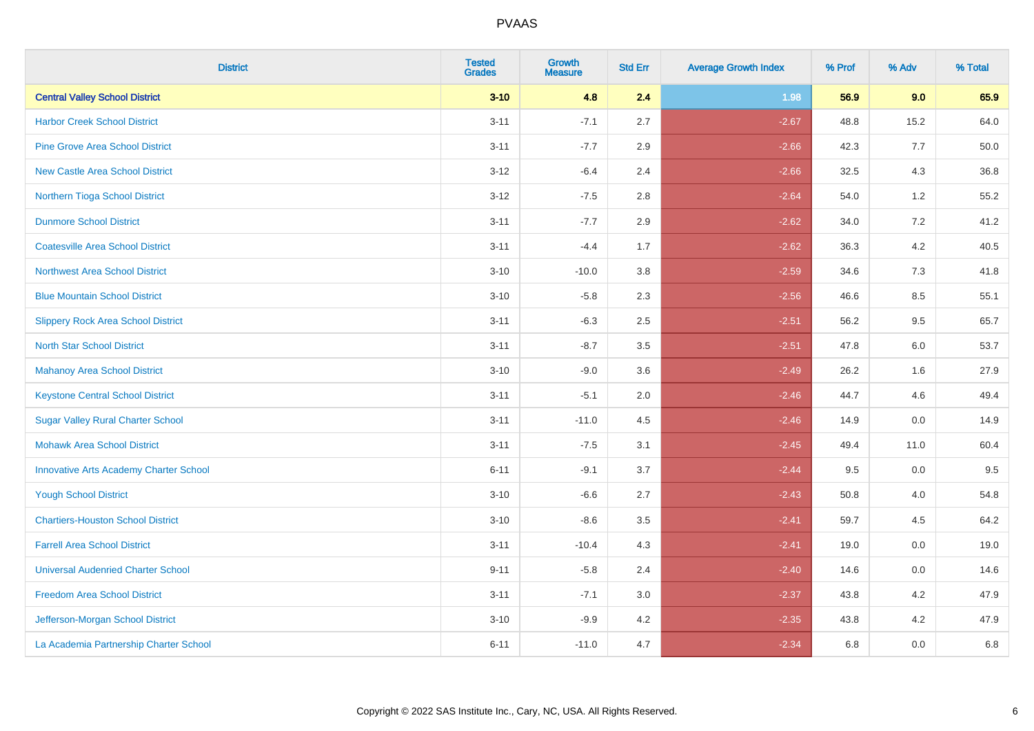| <b>District</b>                               | <b>Tested</b><br><b>Grades</b> | <b>Growth</b><br><b>Measure</b> | <b>Std Err</b> | <b>Average Growth Index</b> | % Prof | % Adv   | % Total |
|-----------------------------------------------|--------------------------------|---------------------------------|----------------|-----------------------------|--------|---------|---------|
| <b>Central Valley School District</b>         | $3 - 10$                       | 4.8                             | 2.4            | 1.98                        | 56.9   | 9.0     | 65.9    |
| <b>Harbor Creek School District</b>           | $3 - 11$                       | $-7.1$                          | 2.7            | $-2.67$                     | 48.8   | 15.2    | 64.0    |
| <b>Pine Grove Area School District</b>        | $3 - 11$                       | $-7.7$                          | 2.9            | $-2.66$                     | 42.3   | 7.7     | 50.0    |
| <b>New Castle Area School District</b>        | $3 - 12$                       | $-6.4$                          | 2.4            | $-2.66$                     | 32.5   | $4.3$   | 36.8    |
| Northern Tioga School District                | $3 - 12$                       | $-7.5$                          | 2.8            | $-2.64$                     | 54.0   | 1.2     | 55.2    |
| <b>Dunmore School District</b>                | $3 - 11$                       | $-7.7$                          | 2.9            | $-2.62$                     | 34.0   | 7.2     | 41.2    |
| <b>Coatesville Area School District</b>       | $3 - 11$                       | $-4.4$                          | 1.7            | $-2.62$                     | 36.3   | $4.2\,$ | 40.5    |
| <b>Northwest Area School District</b>         | $3 - 10$                       | $-10.0$                         | 3.8            | $-2.59$                     | 34.6   | 7.3     | 41.8    |
| <b>Blue Mountain School District</b>          | $3 - 10$                       | $-5.8$                          | 2.3            | $-2.56$                     | 46.6   | 8.5     | 55.1    |
| <b>Slippery Rock Area School District</b>     | $3 - 11$                       | $-6.3$                          | 2.5            | $-2.51$                     | 56.2   | $9.5\,$ | 65.7    |
| <b>North Star School District</b>             | $3 - 11$                       | $-8.7$                          | 3.5            | $-2.51$                     | 47.8   | 6.0     | 53.7    |
| Mahanoy Area School District                  | $3 - 10$                       | $-9.0$                          | 3.6            | $-2.49$                     | 26.2   | 1.6     | 27.9    |
| <b>Keystone Central School District</b>       | $3 - 11$                       | $-5.1$                          | 2.0            | $-2.46$                     | 44.7   | 4.6     | 49.4    |
| <b>Sugar Valley Rural Charter School</b>      | $3 - 11$                       | $-11.0$                         | 4.5            | $-2.46$                     | 14.9   | $0.0\,$ | 14.9    |
| <b>Mohawk Area School District</b>            | $3 - 11$                       | $-7.5$                          | 3.1            | $-2.45$                     | 49.4   | 11.0    | 60.4    |
| <b>Innovative Arts Academy Charter School</b> | $6 - 11$                       | $-9.1$                          | 3.7            | $-2.44$                     | 9.5    | 0.0     | 9.5     |
| <b>Yough School District</b>                  | $3 - 10$                       | $-6.6$                          | 2.7            | $-2.43$                     | 50.8   | 4.0     | 54.8    |
| <b>Chartiers-Houston School District</b>      | $3 - 10$                       | $-8.6$                          | 3.5            | $-2.41$                     | 59.7   | 4.5     | 64.2    |
| <b>Farrell Area School District</b>           | $3 - 11$                       | $-10.4$                         | 4.3            | $-2.41$                     | 19.0   | 0.0     | 19.0    |
| <b>Universal Audenried Charter School</b>     | $9 - 11$                       | $-5.8$                          | 2.4            | $-2.40$                     | 14.6   | 0.0     | 14.6    |
| <b>Freedom Area School District</b>           | $3 - 11$                       | $-7.1$                          | 3.0            | $-2.37$                     | 43.8   | 4.2     | 47.9    |
| Jefferson-Morgan School District              | $3 - 10$                       | $-9.9$                          | 4.2            | $-2.35$                     | 43.8   | 4.2     | 47.9    |
| La Academia Partnership Charter School        | $6 - 11$                       | $-11.0$                         | 4.7            | $-2.34$                     | 6.8    | 0.0     | 6.8     |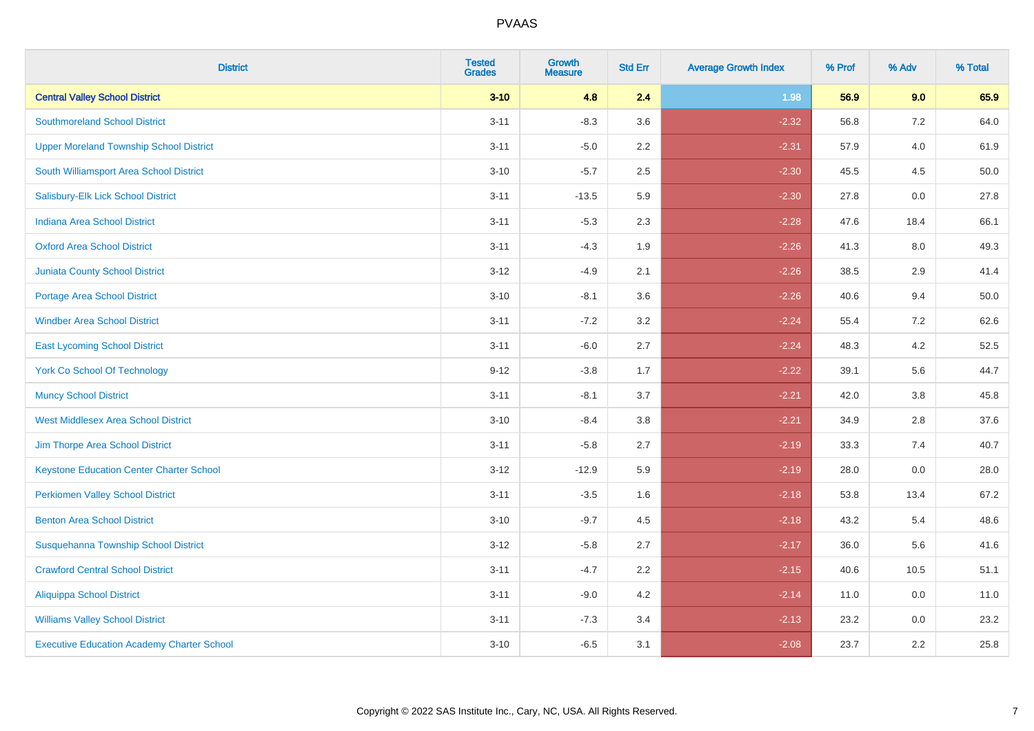| <b>District</b>                                   | <b>Tested</b><br><b>Grades</b> | <b>Growth</b><br><b>Measure</b> | <b>Std Err</b> | <b>Average Growth Index</b> | % Prof | % Adv   | % Total |
|---------------------------------------------------|--------------------------------|---------------------------------|----------------|-----------------------------|--------|---------|---------|
| <b>Central Valley School District</b>             | $3 - 10$                       | 4.8                             | 2.4            | 1.98                        | 56.9   | 9.0     | 65.9    |
| <b>Southmoreland School District</b>              | $3 - 11$                       | $-8.3$                          | 3.6            | $-2.32$                     | 56.8   | 7.2     | 64.0    |
| <b>Upper Moreland Township School District</b>    | $3 - 11$                       | $-5.0$                          | 2.2            | $-2.31$                     | 57.9   | 4.0     | 61.9    |
| South Williamsport Area School District           | $3 - 10$                       | $-5.7$                          | 2.5            | $-2.30$                     | 45.5   | 4.5     | 50.0    |
| Salisbury-Elk Lick School District                | $3 - 11$                       | $-13.5$                         | 5.9            | $-2.30$                     | 27.8   | 0.0     | 27.8    |
| <b>Indiana Area School District</b>               | $3 - 11$                       | $-5.3$                          | 2.3            | $-2.28$                     | 47.6   | 18.4    | 66.1    |
| <b>Oxford Area School District</b>                | $3 - 11$                       | $-4.3$                          | 1.9            | $-2.26$                     | 41.3   | $8.0\,$ | 49.3    |
| <b>Juniata County School District</b>             | $3 - 12$                       | $-4.9$                          | 2.1            | $-2.26$                     | 38.5   | 2.9     | 41.4    |
| Portage Area School District                      | $3 - 10$                       | $-8.1$                          | 3.6            | $-2.26$                     | 40.6   | 9.4     | 50.0    |
| <b>Windber Area School District</b>               | $3 - 11$                       | $-7.2$                          | 3.2            | $-2.24$                     | 55.4   | 7.2     | 62.6    |
| <b>East Lycoming School District</b>              | $3 - 11$                       | $-6.0$                          | 2.7            | $-2.24$                     | 48.3   | 4.2     | 52.5    |
| <b>York Co School Of Technology</b>               | $9 - 12$                       | $-3.8$                          | 1.7            | $-2.22$                     | 39.1   | 5.6     | 44.7    |
| <b>Muncy School District</b>                      | $3 - 11$                       | $-8.1$                          | 3.7            | $-2.21$                     | 42.0   | 3.8     | 45.8    |
| <b>West Middlesex Area School District</b>        | $3 - 10$                       | $-8.4$                          | 3.8            | $-2.21$                     | 34.9   | 2.8     | 37.6    |
| Jim Thorpe Area School District                   | $3 - 11$                       | $-5.8$                          | 2.7            | $-2.19$                     | 33.3   | 7.4     | 40.7    |
| <b>Keystone Education Center Charter School</b>   | $3 - 12$                       | $-12.9$                         | 5.9            | $-2.19$                     | 28.0   | 0.0     | 28.0    |
| <b>Perkiomen Valley School District</b>           | $3 - 11$                       | $-3.5$                          | 1.6            | $-2.18$                     | 53.8   | 13.4    | 67.2    |
| <b>Benton Area School District</b>                | $3 - 10$                       | $-9.7$                          | 4.5            | $-2.18$                     | 43.2   | 5.4     | 48.6    |
| Susquehanna Township School District              | $3 - 12$                       | $-5.8$                          | 2.7            | $-2.17$                     | 36.0   | 5.6     | 41.6    |
| <b>Crawford Central School District</b>           | $3 - 11$                       | $-4.7$                          | 2.2            | $-2.15$                     | 40.6   | 10.5    | 51.1    |
| <b>Aliquippa School District</b>                  | $3 - 11$                       | $-9.0$                          | 4.2            | $-2.14$                     | 11.0   | 0.0     | 11.0    |
| <b>Williams Valley School District</b>            | $3 - 11$                       | $-7.3$                          | 3.4            | $-2.13$                     | 23.2   | 0.0     | 23.2    |
| <b>Executive Education Academy Charter School</b> | $3 - 10$                       | $-6.5$                          | 3.1            | $-2.08$                     | 23.7   | 2.2     | 25.8    |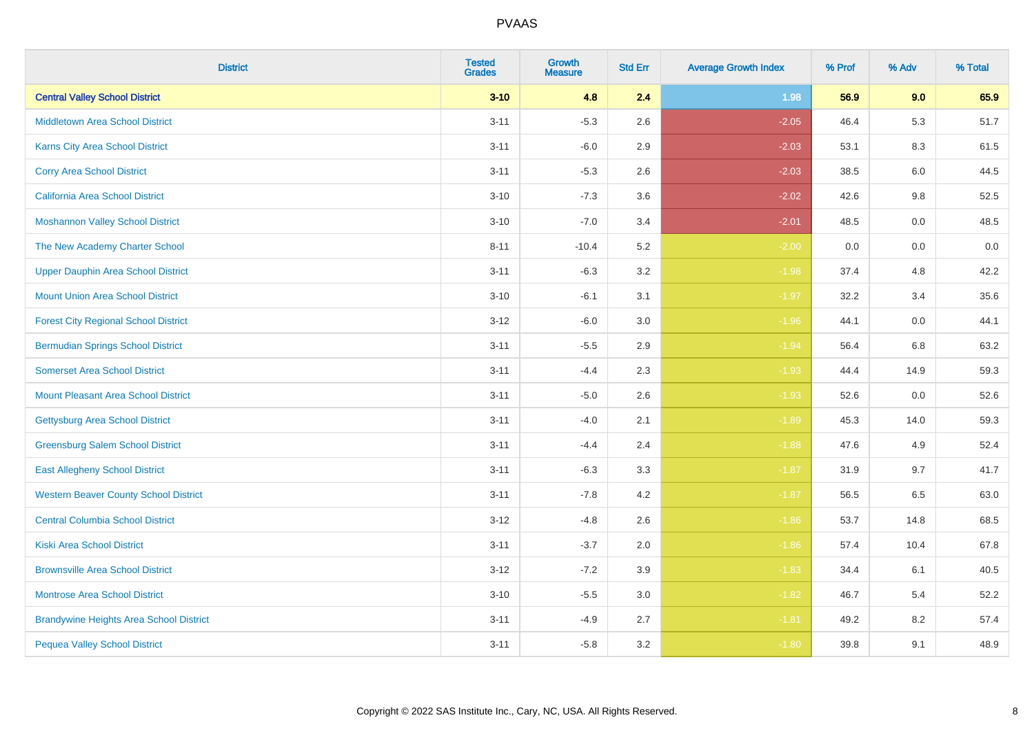| <b>District</b>                                | <b>Tested</b><br><b>Grades</b> | <b>Growth</b><br><b>Measure</b> | <b>Std Err</b> | <b>Average Growth Index</b> | % Prof | % Adv   | % Total |
|------------------------------------------------|--------------------------------|---------------------------------|----------------|-----------------------------|--------|---------|---------|
| <b>Central Valley School District</b>          | $3 - 10$                       | 4.8                             | 2.4            | 1.98                        | 56.9   | 9.0     | 65.9    |
| <b>Middletown Area School District</b>         | $3 - 11$                       | $-5.3$                          | 2.6            | $-2.05$                     | 46.4   | 5.3     | 51.7    |
| Karns City Area School District                | $3 - 11$                       | $-6.0$                          | 2.9            | $-2.03$                     | 53.1   | 8.3     | 61.5    |
| <b>Corry Area School District</b>              | $3 - 11$                       | $-5.3$                          | 2.6            | $-2.03$                     | 38.5   | $6.0\,$ | 44.5    |
| <b>California Area School District</b>         | $3 - 10$                       | $-7.3$                          | 3.6            | $-2.02$                     | 42.6   | 9.8     | 52.5    |
| <b>Moshannon Valley School District</b>        | $3 - 10$                       | $-7.0$                          | 3.4            | $-2.01$                     | 48.5   | 0.0     | 48.5    |
| The New Academy Charter School                 | $8 - 11$                       | $-10.4$                         | 5.2            | $-2.00$                     | 0.0    | 0.0     | 0.0     |
| <b>Upper Dauphin Area School District</b>      | $3 - 11$                       | $-6.3$                          | 3.2            | $-1.98$                     | 37.4   | 4.8     | 42.2    |
| <b>Mount Union Area School District</b>        | $3 - 10$                       | $-6.1$                          | 3.1            | $-1.97$                     | 32.2   | 3.4     | 35.6    |
| <b>Forest City Regional School District</b>    | $3 - 12$                       | $-6.0$                          | 3.0            | $-1.96$                     | 44.1   | 0.0     | 44.1    |
| <b>Bermudian Springs School District</b>       | $3 - 11$                       | $-5.5$                          | 2.9            | $-1.94$                     | 56.4   | 6.8     | 63.2    |
| <b>Somerset Area School District</b>           | $3 - 11$                       | $-4.4$                          | 2.3            | $-1.93$                     | 44.4   | 14.9    | 59.3    |
| Mount Pleasant Area School District            | $3 - 11$                       | $-5.0$                          | 2.6            | $-1.93$                     | 52.6   | $0.0\,$ | 52.6    |
| <b>Gettysburg Area School District</b>         | $3 - 11$                       | $-4.0$                          | 2.1            | $-1.89$                     | 45.3   | 14.0    | 59.3    |
| <b>Greensburg Salem School District</b>        | $3 - 11$                       | $-4.4$                          | 2.4            | $-1.88$                     | 47.6   | 4.9     | 52.4    |
| <b>East Allegheny School District</b>          | $3 - 11$                       | $-6.3$                          | 3.3            | $-1.87$                     | 31.9   | 9.7     | 41.7    |
| <b>Western Beaver County School District</b>   | $3 - 11$                       | $-7.8$                          | 4.2            | $-1.87$                     | 56.5   | 6.5     | 63.0    |
| <b>Central Columbia School District</b>        | $3 - 12$                       | $-4.8$                          | 2.6            | $-1.86$                     | 53.7   | 14.8    | 68.5    |
| <b>Kiski Area School District</b>              | $3 - 11$                       | $-3.7$                          | 2.0            | $-1.86$                     | 57.4   | 10.4    | 67.8    |
| <b>Brownsville Area School District</b>        | $3 - 12$                       | $-7.2$                          | 3.9            | $-1.83$                     | 34.4   | 6.1     | 40.5    |
| <b>Montrose Area School District</b>           | $3 - 10$                       | $-5.5$                          | 3.0            | $-1.82$                     | 46.7   | 5.4     | 52.2    |
| <b>Brandywine Heights Area School District</b> | $3 - 11$                       | $-4.9$                          | 2.7            | $-1.81$                     | 49.2   | 8.2     | 57.4    |
| <b>Pequea Valley School District</b>           | $3 - 11$                       | $-5.8$                          | 3.2            | $-1.80$                     | 39.8   | 9.1     | 48.9    |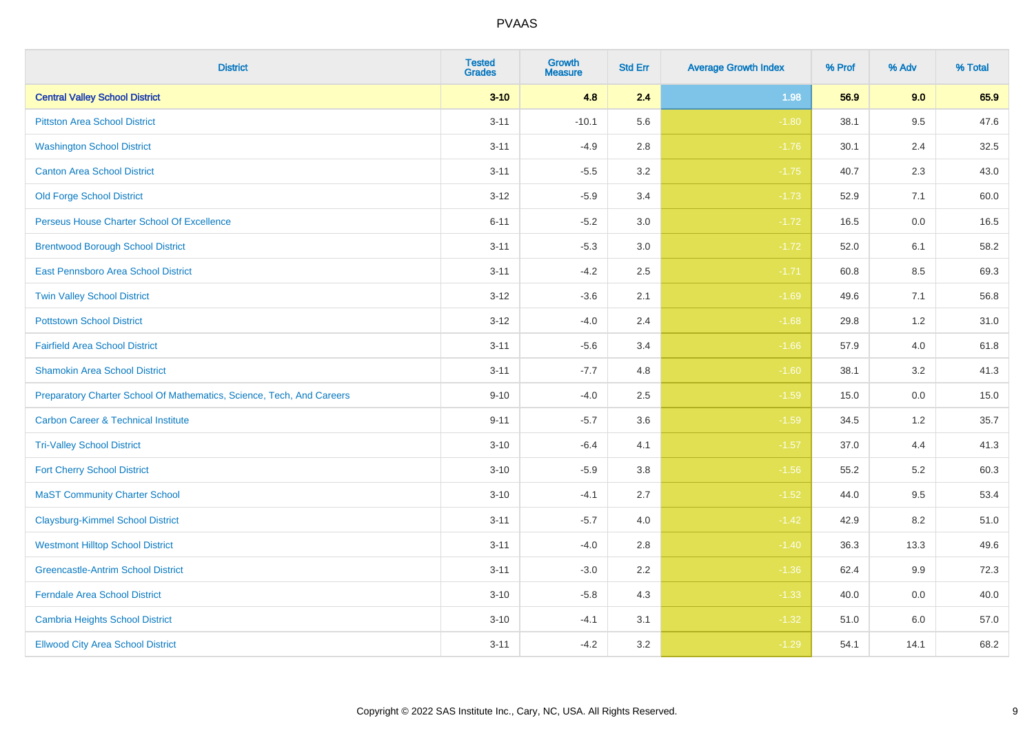| <b>District</b>                                                       | <b>Tested</b><br><b>Grades</b> | <b>Growth</b><br><b>Measure</b> | <b>Std Err</b> | <b>Average Growth Index</b> | % Prof | % Adv   | % Total |
|-----------------------------------------------------------------------|--------------------------------|---------------------------------|----------------|-----------------------------|--------|---------|---------|
| <b>Central Valley School District</b>                                 | $3 - 10$                       | 4.8                             | 2.4            | 1.98                        | 56.9   | 9.0     | 65.9    |
| <b>Pittston Area School District</b>                                  | $3 - 11$                       | $-10.1$                         | 5.6            | $-1.80$                     | 38.1   | 9.5     | 47.6    |
| <b>Washington School District</b>                                     | $3 - 11$                       | $-4.9$                          | 2.8            | $-1.76$                     | 30.1   | 2.4     | 32.5    |
| <b>Canton Area School District</b>                                    | $3 - 11$                       | $-5.5$                          | $3.2\,$        | $-1.75$                     | 40.7   | 2.3     | 43.0    |
| <b>Old Forge School District</b>                                      | $3 - 12$                       | $-5.9$                          | 3.4            | $-1.73$                     | 52.9   | 7.1     | 60.0    |
| Perseus House Charter School Of Excellence                            | $6 - 11$                       | $-5.2$                          | 3.0            | $-1.72$                     | 16.5   | 0.0     | 16.5    |
| <b>Brentwood Borough School District</b>                              | $3 - 11$                       | $-5.3$                          | $3.0\,$        | $-1.72$                     | 52.0   | 6.1     | 58.2    |
| East Pennsboro Area School District                                   | $3 - 11$                       | $-4.2$                          | 2.5            | $-1.71$                     | 60.8   | 8.5     | 69.3    |
| <b>Twin Valley School District</b>                                    | $3 - 12$                       | $-3.6$                          | 2.1            | $-1.69$                     | 49.6   | 7.1     | 56.8    |
| <b>Pottstown School District</b>                                      | $3 - 12$                       | $-4.0$                          | 2.4            | $-1.68$                     | 29.8   | 1.2     | 31.0    |
| <b>Fairfield Area School District</b>                                 | $3 - 11$                       | $-5.6$                          | 3.4            | $-1.66$                     | 57.9   | 4.0     | 61.8    |
| <b>Shamokin Area School District</b>                                  | $3 - 11$                       | $-7.7$                          | 4.8            | $-1.60$                     | 38.1   | 3.2     | 41.3    |
| Preparatory Charter School Of Mathematics, Science, Tech, And Careers | $9 - 10$                       | $-4.0$                          | 2.5            | $-1.59$                     | 15.0   | $0.0\,$ | 15.0    |
| <b>Carbon Career &amp; Technical Institute</b>                        | $9 - 11$                       | $-5.7$                          | 3.6            | $-1.59$                     | 34.5   | 1.2     | 35.7    |
| <b>Tri-Valley School District</b>                                     | $3 - 10$                       | $-6.4$                          | 4.1            | $-1.57$                     | 37.0   | 4.4     | 41.3    |
| <b>Fort Cherry School District</b>                                    | $3 - 10$                       | $-5.9$                          | 3.8            | $-1.56$                     | 55.2   | 5.2     | 60.3    |
| <b>MaST Community Charter School</b>                                  | $3 - 10$                       | $-4.1$                          | 2.7            | $-1.52$                     | 44.0   | 9.5     | 53.4    |
| <b>Claysburg-Kimmel School District</b>                               | $3 - 11$                       | $-5.7$                          | 4.0            | $-1.42$                     | 42.9   | 8.2     | 51.0    |
| <b>Westmont Hilltop School District</b>                               | $3 - 11$                       | $-4.0$                          | 2.8            | $-1.40$                     | 36.3   | 13.3    | 49.6    |
| <b>Greencastle-Antrim School District</b>                             | $3 - 11$                       | $-3.0$                          | 2.2            | $-1.36$                     | 62.4   | 9.9     | 72.3    |
| <b>Ferndale Area School District</b>                                  | $3 - 10$                       | $-5.8$                          | 4.3            | $-1.33$                     | 40.0   | 0.0     | 40.0    |
| <b>Cambria Heights School District</b>                                | $3 - 10$                       | $-4.1$                          | 3.1            | $-1.32$                     | 51.0   | 6.0     | 57.0    |
| <b>Ellwood City Area School District</b>                              | $3 - 11$                       | $-4.2$                          | 3.2            | $-1.29$                     | 54.1   | 14.1    | 68.2    |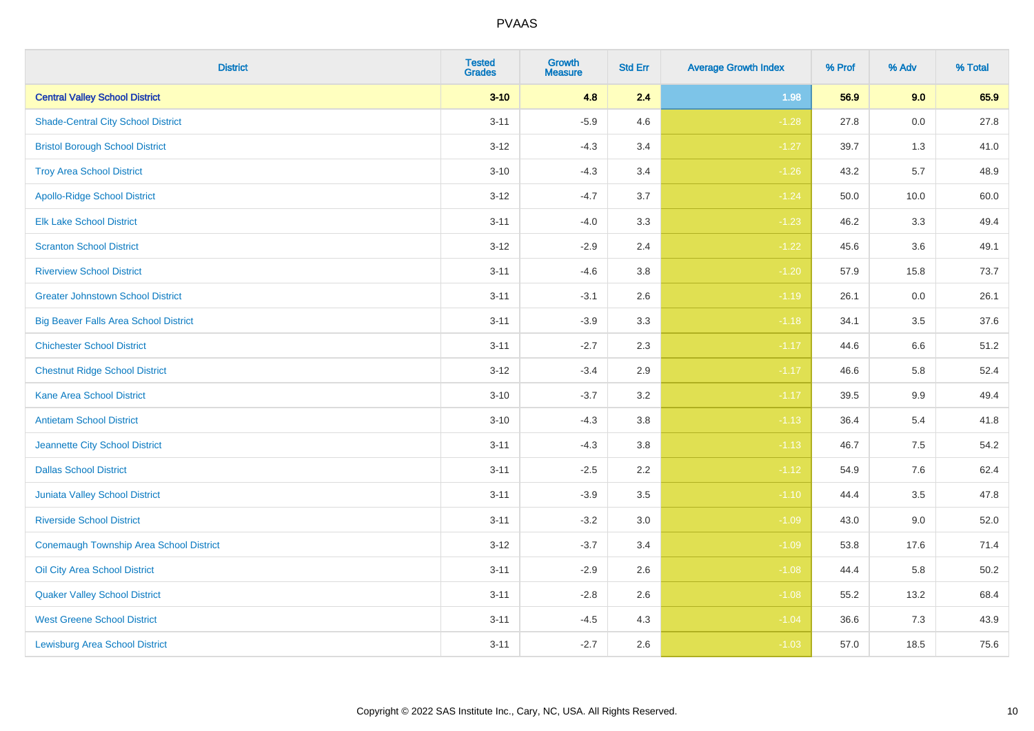| <b>District</b>                              | <b>Tested</b><br><b>Grades</b> | <b>Growth</b><br><b>Measure</b> | <b>Std Err</b> | <b>Average Growth Index</b> | % Prof | % Adv   | % Total |
|----------------------------------------------|--------------------------------|---------------------------------|----------------|-----------------------------|--------|---------|---------|
| <b>Central Valley School District</b>        | $3 - 10$                       | 4.8                             | 2.4            | 1.98                        | 56.9   | 9.0     | 65.9    |
| <b>Shade-Central City School District</b>    | $3 - 11$                       | $-5.9$                          | 4.6            | $-1.28$                     | 27.8   | 0.0     | 27.8    |
| <b>Bristol Borough School District</b>       | $3 - 12$                       | $-4.3$                          | 3.4            | $-1.27$                     | 39.7   | 1.3     | 41.0    |
| <b>Troy Area School District</b>             | $3 - 10$                       | $-4.3$                          | 3.4            | $-1.26$                     | 43.2   | 5.7     | 48.9    |
| <b>Apollo-Ridge School District</b>          | $3 - 12$                       | $-4.7$                          | 3.7            | $-1.24$                     | 50.0   | 10.0    | 60.0    |
| <b>Elk Lake School District</b>              | $3 - 11$                       | $-4.0$                          | 3.3            | $-1.23$                     | 46.2   | 3.3     | 49.4    |
| <b>Scranton School District</b>              | $3 - 12$                       | $-2.9$                          | 2.4            | $-1.22$                     | 45.6   | 3.6     | 49.1    |
| <b>Riverview School District</b>             | $3 - 11$                       | $-4.6$                          | 3.8            | $-1.20$                     | 57.9   | 15.8    | 73.7    |
| <b>Greater Johnstown School District</b>     | $3 - 11$                       | $-3.1$                          | 2.6            | $-1.19$                     | 26.1   | 0.0     | 26.1    |
| <b>Big Beaver Falls Area School District</b> | $3 - 11$                       | $-3.9$                          | 3.3            | $-1.18$                     | 34.1   | 3.5     | 37.6    |
| <b>Chichester School District</b>            | $3 - 11$                       | $-2.7$                          | 2.3            | $-1.17$                     | 44.6   | 6.6     | 51.2    |
| <b>Chestnut Ridge School District</b>        | $3 - 12$                       | $-3.4$                          | 2.9            | $-1.17$                     | 46.6   | 5.8     | 52.4    |
| Kane Area School District                    | $3 - 10$                       | $-3.7$                          | $3.2\,$        | $-1.17$                     | 39.5   | $9.9\,$ | 49.4    |
| <b>Antietam School District</b>              | $3 - 10$                       | $-4.3$                          | 3.8            | $-1.13$                     | 36.4   | 5.4     | 41.8    |
| Jeannette City School District               | $3 - 11$                       | $-4.3$                          | 3.8            | $-1.13$                     | 46.7   | 7.5     | 54.2    |
| <b>Dallas School District</b>                | $3 - 11$                       | $-2.5$                          | 2.2            | $-1.12$                     | 54.9   | 7.6     | 62.4    |
| Juniata Valley School District               | $3 - 11$                       | $-3.9$                          | 3.5            | $-1.10$                     | 44.4   | 3.5     | 47.8    |
| <b>Riverside School District</b>             | $3 - 11$                       | $-3.2$                          | 3.0            | $-1.09$                     | 43.0   | 9.0     | 52.0    |
| Conemaugh Township Area School District      | $3 - 12$                       | $-3.7$                          | 3.4            | $-1.09$                     | 53.8   | 17.6    | 71.4    |
| Oil City Area School District                | $3 - 11$                       | $-2.9$                          | 2.6            | $-1.08$                     | 44.4   | 5.8     | 50.2    |
| <b>Quaker Valley School District</b>         | $3 - 11$                       | $-2.8$                          | 2.6            | $-1.08$                     | 55.2   | 13.2    | 68.4    |
| <b>West Greene School District</b>           | $3 - 11$                       | $-4.5$                          | 4.3            | $-1.04$                     | 36.6   | 7.3     | 43.9    |
| <b>Lewisburg Area School District</b>        | $3 - 11$                       | $-2.7$                          | 2.6            | $-1.03$                     | 57.0   | 18.5    | 75.6    |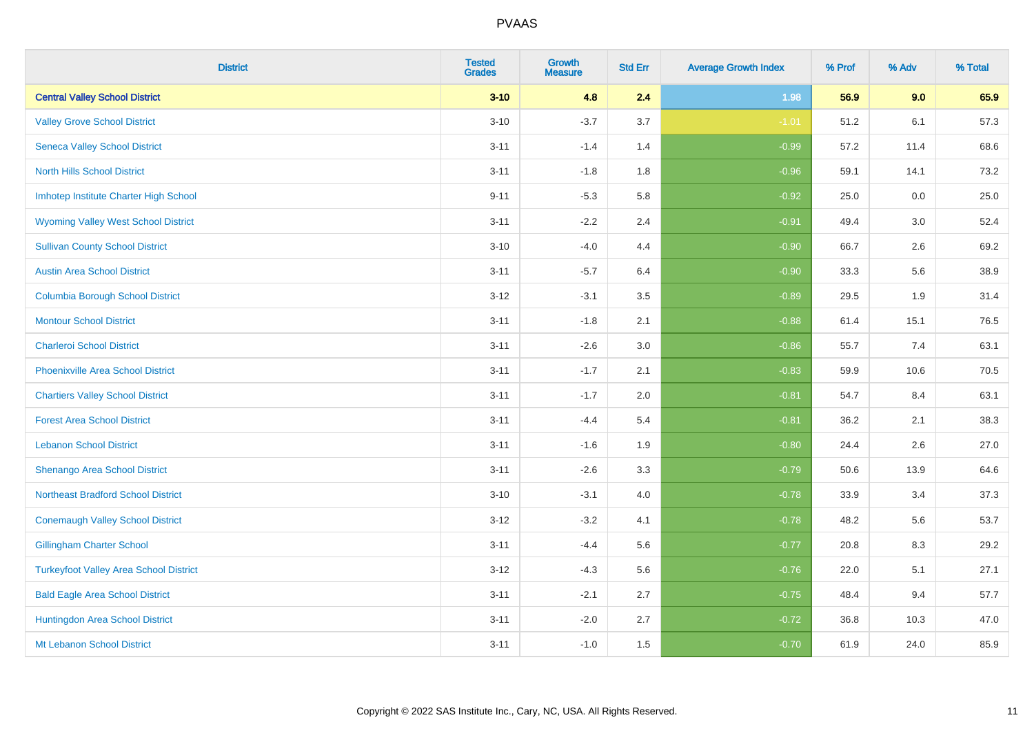| <b>District</b>                               | <b>Tested</b><br><b>Grades</b> | <b>Growth</b><br><b>Measure</b> | <b>Std Err</b> | <b>Average Growth Index</b> | % Prof | % Adv | % Total |
|-----------------------------------------------|--------------------------------|---------------------------------|----------------|-----------------------------|--------|-------|---------|
| <b>Central Valley School District</b>         | $3 - 10$                       | 4.8                             | 2.4            | 1.98                        | 56.9   | 9.0   | 65.9    |
| <b>Valley Grove School District</b>           | $3 - 10$                       | $-3.7$                          | 3.7            | $-1.01$                     | 51.2   | 6.1   | 57.3    |
| <b>Seneca Valley School District</b>          | $3 - 11$                       | $-1.4$                          | 1.4            | $-0.99$                     | 57.2   | 11.4  | 68.6    |
| <b>North Hills School District</b>            | $3 - 11$                       | $-1.8$                          | 1.8            | $-0.96$                     | 59.1   | 14.1  | 73.2    |
| Imhotep Institute Charter High School         | $9 - 11$                       | $-5.3$                          | 5.8            | $-0.92$                     | 25.0   | 0.0   | 25.0    |
| <b>Wyoming Valley West School District</b>    | $3 - 11$                       | $-2.2$                          | 2.4            | $-0.91$                     | 49.4   | 3.0   | 52.4    |
| <b>Sullivan County School District</b>        | $3 - 10$                       | $-4.0$                          | 4.4            | $-0.90$                     | 66.7   | 2.6   | 69.2    |
| <b>Austin Area School District</b>            | $3 - 11$                       | $-5.7$                          | 6.4            | $-0.90$                     | 33.3   | 5.6   | 38.9    |
| <b>Columbia Borough School District</b>       | $3 - 12$                       | $-3.1$                          | 3.5            | $-0.89$                     | 29.5   | 1.9   | 31.4    |
| <b>Montour School District</b>                | $3 - 11$                       | $-1.8$                          | 2.1            | $-0.88$                     | 61.4   | 15.1  | 76.5    |
| <b>Charleroi School District</b>              | $3 - 11$                       | $-2.6$                          | 3.0            | $-0.86$                     | 55.7   | 7.4   | 63.1    |
| <b>Phoenixville Area School District</b>      | $3 - 11$                       | $-1.7$                          | 2.1            | $-0.83$                     | 59.9   | 10.6  | 70.5    |
| <b>Chartiers Valley School District</b>       | $3 - 11$                       | $-1.7$                          | 2.0            | $-0.81$                     | 54.7   | 8.4   | 63.1    |
| <b>Forest Area School District</b>            | $3 - 11$                       | $-4.4$                          | 5.4            | $-0.81$                     | 36.2   | 2.1   | 38.3    |
| <b>Lebanon School District</b>                | $3 - 11$                       | $-1.6$                          | 1.9            | $-0.80$                     | 24.4   | 2.6   | 27.0    |
| Shenango Area School District                 | $3 - 11$                       | $-2.6$                          | 3.3            | $-0.79$                     | 50.6   | 13.9  | 64.6    |
| <b>Northeast Bradford School District</b>     | $3 - 10$                       | $-3.1$                          | 4.0            | $-0.78$                     | 33.9   | 3.4   | 37.3    |
| <b>Conemaugh Valley School District</b>       | $3 - 12$                       | $-3.2$                          | 4.1            | $-0.78$                     | 48.2   | 5.6   | 53.7    |
| <b>Gillingham Charter School</b>              | $3 - 11$                       | $-4.4$                          | 5.6            | $-0.77$                     | 20.8   | 8.3   | 29.2    |
| <b>Turkeyfoot Valley Area School District</b> | $3-12$                         | $-4.3$                          | 5.6            | $-0.76$                     | 22.0   | 5.1   | 27.1    |
| <b>Bald Eagle Area School District</b>        | $3 - 11$                       | $-2.1$                          | 2.7            | $-0.75$                     | 48.4   | 9.4   | 57.7    |
| Huntingdon Area School District               | $3 - 11$                       | $-2.0$                          | 2.7            | $-0.72$                     | 36.8   | 10.3  | 47.0    |
| Mt Lebanon School District                    | $3 - 11$                       | $-1.0$                          | 1.5            | $-0.70$                     | 61.9   | 24.0  | 85.9    |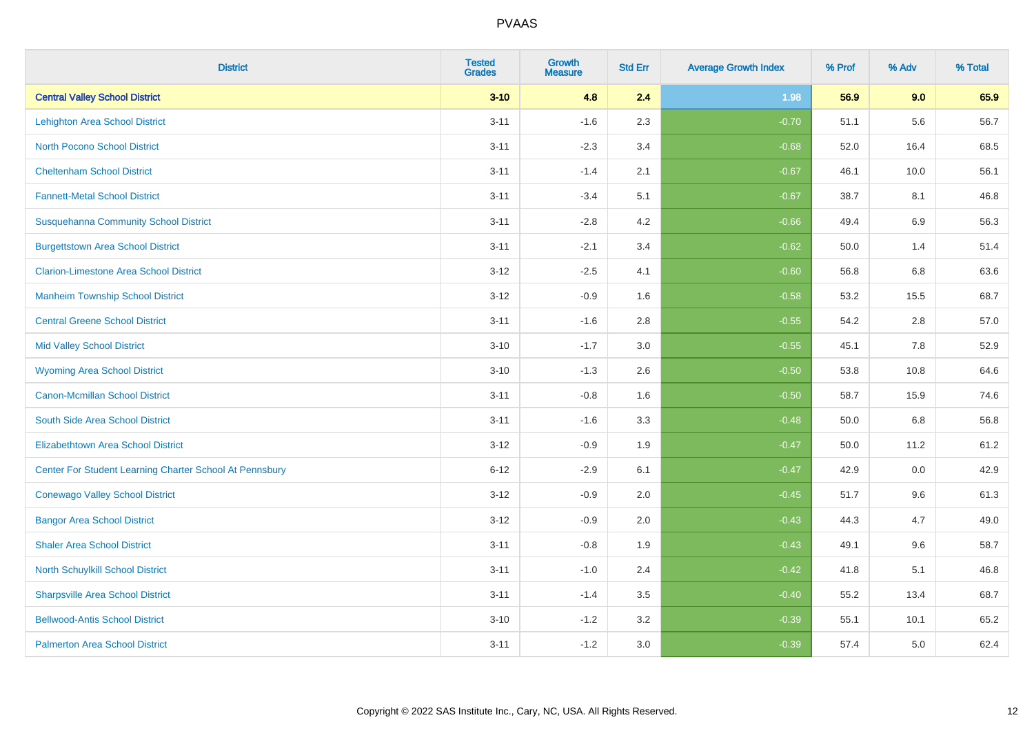| <b>District</b>                                         | <b>Tested</b><br><b>Grades</b> | <b>Growth</b><br><b>Measure</b> | <b>Std Err</b> | <b>Average Growth Index</b> | % Prof | % Adv   | % Total |
|---------------------------------------------------------|--------------------------------|---------------------------------|----------------|-----------------------------|--------|---------|---------|
| <b>Central Valley School District</b>                   | $3 - 10$                       | 4.8                             | 2.4            | 1.98                        | 56.9   | 9.0     | 65.9    |
| <b>Lehighton Area School District</b>                   | $3 - 11$                       | $-1.6$                          | 2.3            | $-0.70$                     | 51.1   | 5.6     | 56.7    |
| <b>North Pocono School District</b>                     | $3 - 11$                       | $-2.3$                          | 3.4            | $-0.68$                     | 52.0   | 16.4    | 68.5    |
| <b>Cheltenham School District</b>                       | $3 - 11$                       | $-1.4$                          | 2.1            | $-0.67$                     | 46.1   | 10.0    | 56.1    |
| <b>Fannett-Metal School District</b>                    | $3 - 11$                       | $-3.4$                          | 5.1            | $-0.67$                     | 38.7   | 8.1     | 46.8    |
| <b>Susquehanna Community School District</b>            | $3 - 11$                       | $-2.8$                          | 4.2            | $-0.66$                     | 49.4   | 6.9     | 56.3    |
| <b>Burgettstown Area School District</b>                | $3 - 11$                       | $-2.1$                          | 3.4            | $-0.62$                     | 50.0   | 1.4     | 51.4    |
| <b>Clarion-Limestone Area School District</b>           | $3 - 12$                       | $-2.5$                          | 4.1            | $-0.60$                     | 56.8   | 6.8     | 63.6    |
| <b>Manheim Township School District</b>                 | $3 - 12$                       | $-0.9$                          | 1.6            | $-0.58$                     | 53.2   | 15.5    | 68.7    |
| <b>Central Greene School District</b>                   | $3 - 11$                       | $-1.6$                          | 2.8            | $-0.55$                     | 54.2   | $2.8\,$ | 57.0    |
| <b>Mid Valley School District</b>                       | $3 - 10$                       | $-1.7$                          | 3.0            | $-0.55$                     | 45.1   | 7.8     | 52.9    |
| <b>Wyoming Area School District</b>                     | $3 - 10$                       | $-1.3$                          | 2.6            | $-0.50$                     | 53.8   | 10.8    | 64.6    |
| <b>Canon-Mcmillan School District</b>                   | $3 - 11$                       | $-0.8$                          | 1.6            | $-0.50$                     | 58.7   | 15.9    | 74.6    |
| South Side Area School District                         | $3 - 11$                       | $-1.6$                          | 3.3            | $-0.48$                     | 50.0   | 6.8     | 56.8    |
| <b>Elizabethtown Area School District</b>               | $3 - 12$                       | $-0.9$                          | 1.9            | $-0.47$                     | 50.0   | 11.2    | 61.2    |
| Center For Student Learning Charter School At Pennsbury | $6 - 12$                       | $-2.9$                          | 6.1            | $-0.47$                     | 42.9   | 0.0     | 42.9    |
| <b>Conewago Valley School District</b>                  | $3 - 12$                       | $-0.9$                          | 2.0            | $-0.45$                     | 51.7   | 9.6     | 61.3    |
| <b>Bangor Area School District</b>                      | $3 - 12$                       | $-0.9$                          | 2.0            | $-0.43$                     | 44.3   | 4.7     | 49.0    |
| <b>Shaler Area School District</b>                      | $3 - 11$                       | $-0.8$                          | 1.9            | $-0.43$                     | 49.1   | 9.6     | 58.7    |
| North Schuylkill School District                        | $3 - 11$                       | $-1.0$                          | 2.4            | $-0.42$                     | 41.8   | 5.1     | 46.8    |
| <b>Sharpsville Area School District</b>                 | $3 - 11$                       | $-1.4$                          | 3.5            | $-0.40$                     | 55.2   | 13.4    | 68.7    |
| <b>Bellwood-Antis School District</b>                   | $3 - 10$                       | $-1.2$                          | 3.2            | $-0.39$                     | 55.1   | 10.1    | 65.2    |
| <b>Palmerton Area School District</b>                   | $3 - 11$                       | $-1.2$                          | 3.0            | $-0.39$                     | 57.4   | 5.0     | 62.4    |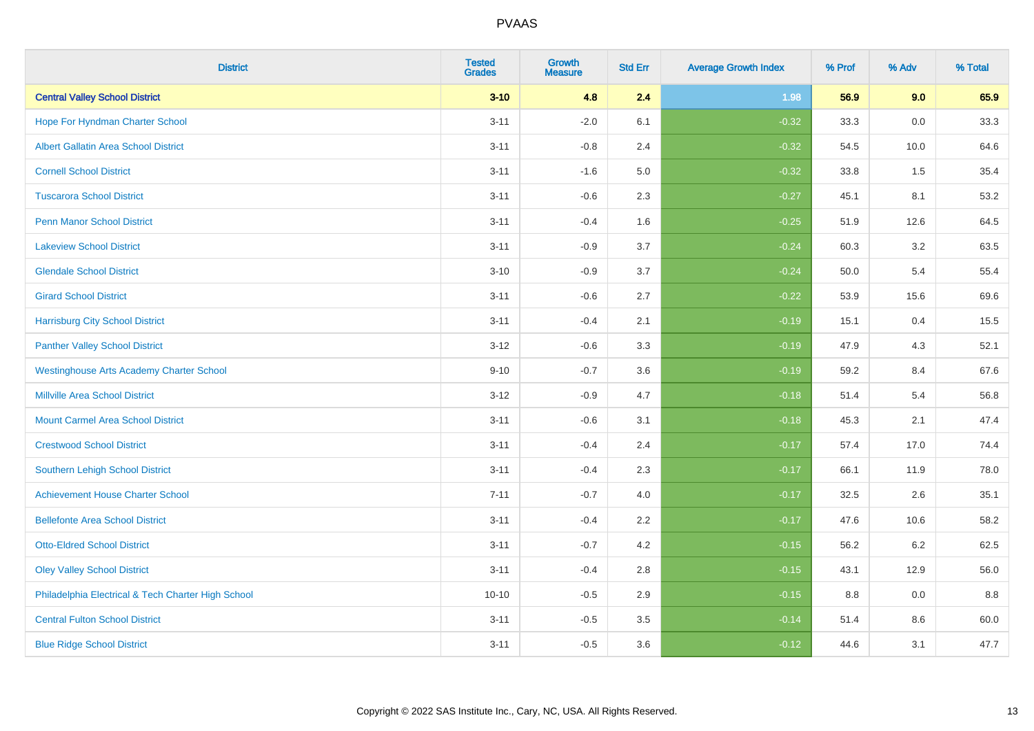| <b>District</b>                                    | <b>Tested</b><br><b>Grades</b> | <b>Growth</b><br><b>Measure</b> | <b>Std Err</b> | <b>Average Growth Index</b> | % Prof | % Adv   | % Total |
|----------------------------------------------------|--------------------------------|---------------------------------|----------------|-----------------------------|--------|---------|---------|
| <b>Central Valley School District</b>              | $3 - 10$                       | 4.8                             | 2.4            | 1.98                        | 56.9   | 9.0     | 65.9    |
| Hope For Hyndman Charter School                    | $3 - 11$                       | $-2.0$                          | 6.1            | $-0.32$                     | 33.3   | $0.0\,$ | 33.3    |
| <b>Albert Gallatin Area School District</b>        | $3 - 11$                       | $-0.8$                          | 2.4            | $-0.32$                     | 54.5   | 10.0    | 64.6    |
| <b>Cornell School District</b>                     | $3 - 11$                       | $-1.6$                          | $5.0\,$        | $-0.32$                     | 33.8   | 1.5     | 35.4    |
| <b>Tuscarora School District</b>                   | $3 - 11$                       | $-0.6$                          | 2.3            | $-0.27$                     | 45.1   | 8.1     | 53.2    |
| <b>Penn Manor School District</b>                  | $3 - 11$                       | $-0.4$                          | 1.6            | $-0.25$                     | 51.9   | 12.6    | 64.5    |
| <b>Lakeview School District</b>                    | $3 - 11$                       | $-0.9$                          | 3.7            | $-0.24$                     | 60.3   | 3.2     | 63.5    |
| <b>Glendale School District</b>                    | $3 - 10$                       | $-0.9$                          | 3.7            | $-0.24$                     | 50.0   | 5.4     | 55.4    |
| <b>Girard School District</b>                      | $3 - 11$                       | $-0.6$                          | 2.7            | $-0.22$                     | 53.9   | 15.6    | 69.6    |
| <b>Harrisburg City School District</b>             | $3 - 11$                       | $-0.4$                          | 2.1            | $-0.19$                     | 15.1   | 0.4     | 15.5    |
| <b>Panther Valley School District</b>              | $3 - 12$                       | $-0.6$                          | 3.3            | $-0.19$                     | 47.9   | 4.3     | 52.1    |
| <b>Westinghouse Arts Academy Charter School</b>    | $9 - 10$                       | $-0.7$                          | 3.6            | $-0.19$                     | 59.2   | 8.4     | 67.6    |
| <b>Millville Area School District</b>              | $3 - 12$                       | $-0.9$                          | 4.7            | $-0.18$                     | 51.4   | 5.4     | 56.8    |
| <b>Mount Carmel Area School District</b>           | $3 - 11$                       | $-0.6$                          | 3.1            | $-0.18$                     | 45.3   | 2.1     | 47.4    |
| <b>Crestwood School District</b>                   | $3 - 11$                       | $-0.4$                          | 2.4            | $-0.17$                     | 57.4   | 17.0    | 74.4    |
| <b>Southern Lehigh School District</b>             | $3 - 11$                       | $-0.4$                          | 2.3            | $-0.17$                     | 66.1   | 11.9    | 78.0    |
| <b>Achievement House Charter School</b>            | $7 - 11$                       | $-0.7$                          | 4.0            | $-0.17$                     | 32.5   | 2.6     | 35.1    |
| <b>Bellefonte Area School District</b>             | $3 - 11$                       | $-0.4$                          | 2.2            | $-0.17$                     | 47.6   | 10.6    | 58.2    |
| <b>Otto-Eldred School District</b>                 | $3 - 11$                       | $-0.7$                          | 4.2            | $-0.15$                     | 56.2   | $6.2\,$ | 62.5    |
| <b>Oley Valley School District</b>                 | $3 - 11$                       | $-0.4$                          | 2.8            | $-0.15$                     | 43.1   | 12.9    | 56.0    |
| Philadelphia Electrical & Tech Charter High School | $10 - 10$                      | $-0.5$                          | 2.9            | $-0.15$                     | 8.8    | 0.0     | 8.8     |
| <b>Central Fulton School District</b>              | $3 - 11$                       | $-0.5$                          | 3.5            | $-0.14$                     | 51.4   | 8.6     | 60.0    |
| <b>Blue Ridge School District</b>                  | $3 - 11$                       | $-0.5$                          | 3.6            | $-0.12$                     | 44.6   | 3.1     | 47.7    |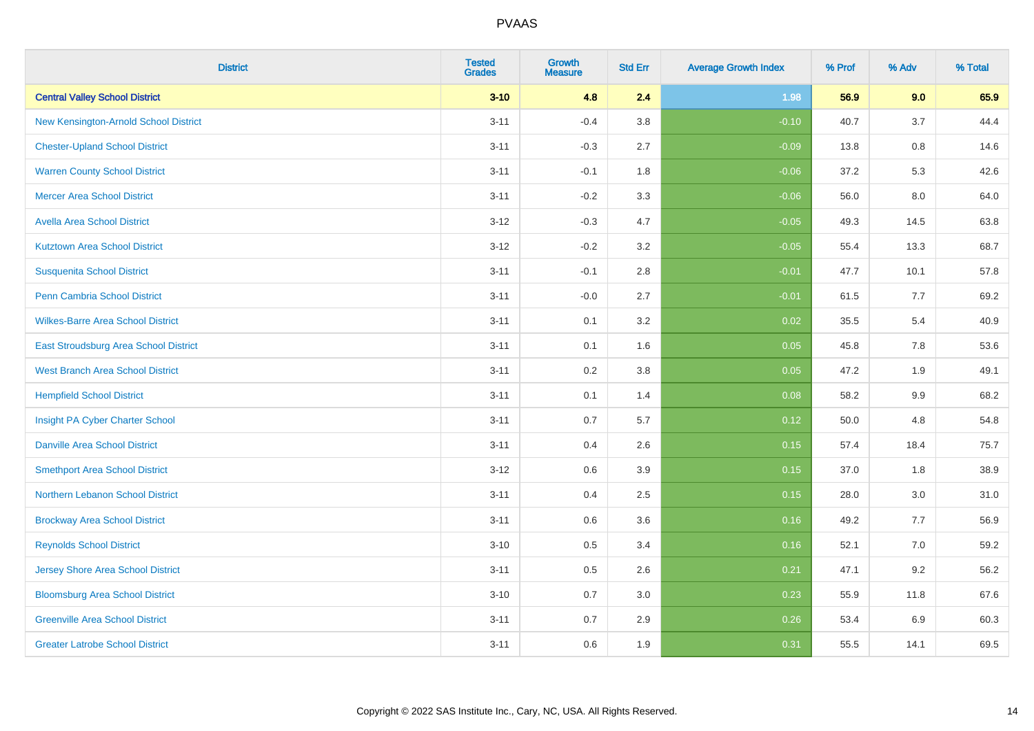| <b>District</b>                          | <b>Tested</b><br><b>Grades</b> | <b>Growth</b><br><b>Measure</b> | <b>Std Err</b> | <b>Average Growth Index</b> | % Prof | % Adv   | % Total |
|------------------------------------------|--------------------------------|---------------------------------|----------------|-----------------------------|--------|---------|---------|
| <b>Central Valley School District</b>    | $3 - 10$                       | 4.8                             | 2.4            | 1.98                        | 56.9   | 9.0     | 65.9    |
| New Kensington-Arnold School District    | $3 - 11$                       | $-0.4$                          | 3.8            | $-0.10$                     | 40.7   | 3.7     | 44.4    |
| <b>Chester-Upland School District</b>    | $3 - 11$                       | $-0.3$                          | 2.7            | $-0.09$                     | 13.8   | $0.8\,$ | 14.6    |
| <b>Warren County School District</b>     | $3 - 11$                       | $-0.1$                          | 1.8            | $-0.06$                     | 37.2   | 5.3     | 42.6    |
| <b>Mercer Area School District</b>       | $3 - 11$                       | $-0.2$                          | 3.3            | $-0.06$                     | 56.0   | 8.0     | 64.0    |
| <b>Avella Area School District</b>       | $3 - 12$                       | $-0.3$                          | 4.7            | $-0.05$                     | 49.3   | 14.5    | 63.8    |
| <b>Kutztown Area School District</b>     | $3 - 12$                       | $-0.2$                          | 3.2            | $-0.05$                     | 55.4   | 13.3    | 68.7    |
| <b>Susquenita School District</b>        | $3 - 11$                       | $-0.1$                          | 2.8            | $-0.01$                     | 47.7   | 10.1    | 57.8    |
| <b>Penn Cambria School District</b>      | $3 - 11$                       | $-0.0$                          | 2.7            | $-0.01$                     | 61.5   | 7.7     | 69.2    |
| <b>Wilkes-Barre Area School District</b> | $3 - 11$                       | 0.1                             | 3.2            | 0.02                        | 35.5   | 5.4     | 40.9    |
| East Stroudsburg Area School District    | $3 - 11$                       | 0.1                             | 1.6            | 0.05                        | 45.8   | 7.8     | 53.6    |
| <b>West Branch Area School District</b>  | $3 - 11$                       | 0.2                             | 3.8            | 0.05                        | 47.2   | 1.9     | 49.1    |
| <b>Hempfield School District</b>         | $3 - 11$                       | 0.1                             | 1.4            | 0.08                        | 58.2   | $9.9\,$ | 68.2    |
| Insight PA Cyber Charter School          | $3 - 11$                       | 0.7                             | 5.7            | 0.12                        | 50.0   | 4.8     | 54.8    |
| <b>Danville Area School District</b>     | $3 - 11$                       | 0.4                             | 2.6            | 0.15                        | 57.4   | 18.4    | 75.7    |
| <b>Smethport Area School District</b>    | $3 - 12$                       | $0.6\,$                         | 3.9            | 0.15                        | 37.0   | 1.8     | 38.9    |
| Northern Lebanon School District         | $3 - 11$                       | 0.4                             | 2.5            | 0.15                        | 28.0   | 3.0     | 31.0    |
| <b>Brockway Area School District</b>     | $3 - 11$                       | 0.6                             | 3.6            | 0.16                        | 49.2   | 7.7     | 56.9    |
| <b>Reynolds School District</b>          | $3 - 10$                       | 0.5                             | 3.4            | 0.16                        | 52.1   | 7.0     | 59.2    |
| <b>Jersey Shore Area School District</b> | $3 - 11$                       | 0.5                             | 2.6            | 0.21                        | 47.1   | 9.2     | 56.2    |
| <b>Bloomsburg Area School District</b>   | $3 - 10$                       | 0.7                             | 3.0            | 0.23                        | 55.9   | 11.8    | 67.6    |
| <b>Greenville Area School District</b>   | $3 - 11$                       | 0.7                             | 2.9            | 0.26                        | 53.4   | 6.9     | 60.3    |
| <b>Greater Latrobe School District</b>   | $3 - 11$                       | 0.6                             | 1.9            | 0.31                        | 55.5   | 14.1    | 69.5    |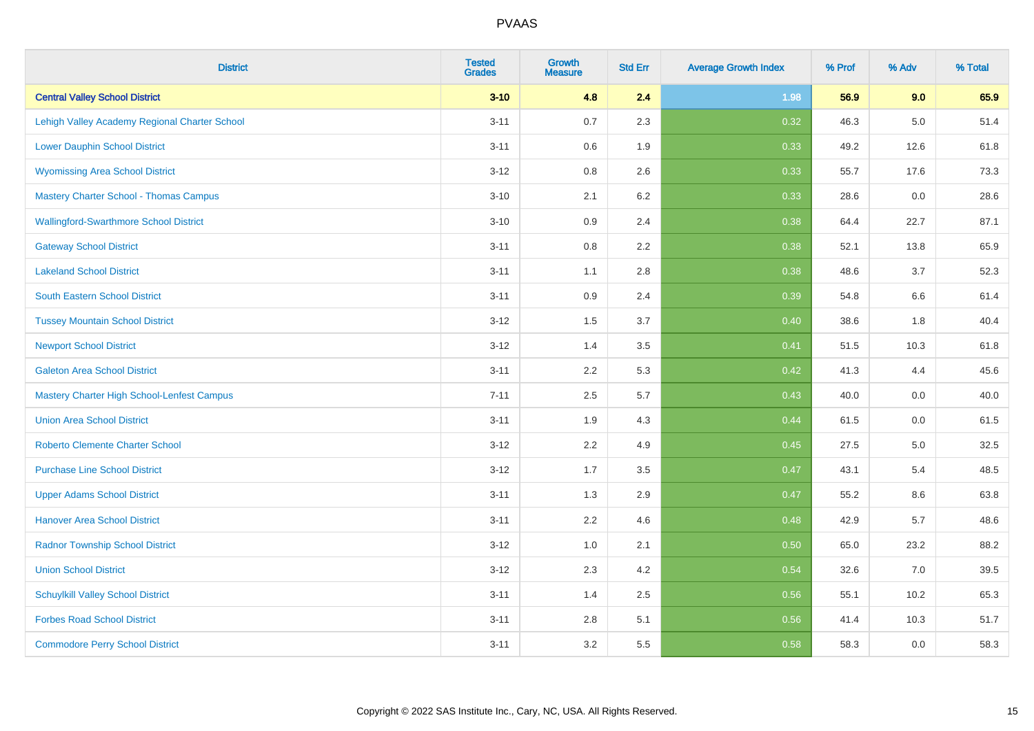| <b>District</b>                                   | <b>Tested</b><br><b>Grades</b> | <b>Growth</b><br><b>Measure</b> | <b>Std Err</b> | <b>Average Growth Index</b> | % Prof | % Adv   | % Total |
|---------------------------------------------------|--------------------------------|---------------------------------|----------------|-----------------------------|--------|---------|---------|
| <b>Central Valley School District</b>             | $3 - 10$                       | 4.8                             | 2.4            | 1.98                        | 56.9   | 9.0     | 65.9    |
| Lehigh Valley Academy Regional Charter School     | $3 - 11$                       | 0.7                             | 2.3            | 0.32                        | 46.3   | $5.0\,$ | 51.4    |
| <b>Lower Dauphin School District</b>              | $3 - 11$                       | 0.6                             | 1.9            | 0.33                        | 49.2   | 12.6    | 61.8    |
| <b>Wyomissing Area School District</b>            | $3 - 12$                       | $0.8\,$                         | 2.6            | 0.33                        | 55.7   | 17.6    | 73.3    |
| <b>Mastery Charter School - Thomas Campus</b>     | $3 - 10$                       | 2.1                             | 6.2            | 0.33                        | 28.6   | 0.0     | 28.6    |
| <b>Wallingford-Swarthmore School District</b>     | $3 - 10$                       | 0.9                             | 2.4            | 0.38                        | 64.4   | 22.7    | 87.1    |
| <b>Gateway School District</b>                    | $3 - 11$                       | 0.8                             | 2.2            | 0.38                        | 52.1   | 13.8    | 65.9    |
| <b>Lakeland School District</b>                   | $3 - 11$                       | 1.1                             | 2.8            | 0.38                        | 48.6   | 3.7     | 52.3    |
| <b>South Eastern School District</b>              | $3 - 11$                       | 0.9                             | 2.4            | 0.39                        | 54.8   | 6.6     | 61.4    |
| <b>Tussey Mountain School District</b>            | $3 - 12$                       | 1.5                             | 3.7            | 0.40                        | 38.6   | 1.8     | 40.4    |
| <b>Newport School District</b>                    | $3 - 12$                       | 1.4                             | 3.5            | 0.41                        | 51.5   | 10.3    | 61.8    |
| <b>Galeton Area School District</b>               | $3 - 11$                       | 2.2                             | 5.3            | 0.42                        | 41.3   | 4.4     | 45.6    |
| <b>Mastery Charter High School-Lenfest Campus</b> | $7 - 11$                       | 2.5                             | 5.7            | 0.43                        | 40.0   | $0.0\,$ | 40.0    |
| <b>Union Area School District</b>                 | $3 - 11$                       | 1.9                             | 4.3            | 0.44                        | 61.5   | 0.0     | 61.5    |
| <b>Roberto Clemente Charter School</b>            | $3 - 12$                       | 2.2                             | 4.9            | 0.45                        | 27.5   | $5.0\,$ | 32.5    |
| <b>Purchase Line School District</b>              | $3 - 12$                       | 1.7                             | 3.5            | 0.47                        | 43.1   | 5.4     | 48.5    |
| <b>Upper Adams School District</b>                | $3 - 11$                       | 1.3                             | 2.9            | 0.47                        | 55.2   | $8.6\,$ | 63.8    |
| <b>Hanover Area School District</b>               | $3 - 11$                       | 2.2                             | 4.6            | 0.48                        | 42.9   | 5.7     | 48.6    |
| <b>Radnor Township School District</b>            | $3 - 12$                       | 1.0                             | 2.1            | 0.50                        | 65.0   | 23.2    | 88.2    |
| <b>Union School District</b>                      | $3 - 12$                       | 2.3                             | 4.2            | 0.54                        | 32.6   | 7.0     | 39.5    |
| <b>Schuylkill Valley School District</b>          | $3 - 11$                       | 1.4                             | 2.5            | 0.56                        | 55.1   | 10.2    | 65.3    |
| <b>Forbes Road School District</b>                | $3 - 11$                       | 2.8                             | 5.1            | 0.56                        | 41.4   | 10.3    | 51.7    |
| <b>Commodore Perry School District</b>            | $3 - 11$                       | 3.2                             | 5.5            | 0.58                        | 58.3   | 0.0     | 58.3    |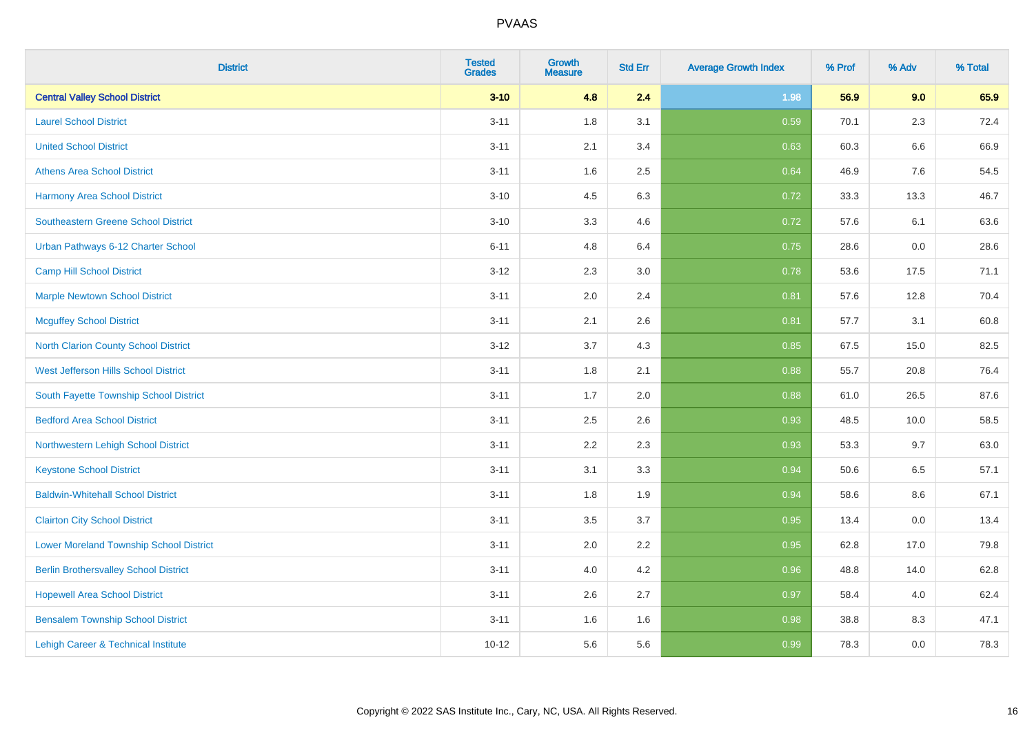| <b>District</b>                                | <b>Tested</b><br><b>Grades</b> | <b>Growth</b><br><b>Measure</b> | <b>Std Err</b> | <b>Average Growth Index</b> | % Prof | % Adv   | % Total |
|------------------------------------------------|--------------------------------|---------------------------------|----------------|-----------------------------|--------|---------|---------|
| <b>Central Valley School District</b>          | $3 - 10$                       | 4.8                             | 2.4            | 1.98                        | 56.9   | 9.0     | 65.9    |
| <b>Laurel School District</b>                  | $3 - 11$                       | 1.8                             | 3.1            | 0.59                        | 70.1   | $2.3\,$ | 72.4    |
| <b>United School District</b>                  | $3 - 11$                       | 2.1                             | 3.4            | 0.63                        | 60.3   | 6.6     | 66.9    |
| <b>Athens Area School District</b>             | $3 - 11$                       | 1.6                             | 2.5            | 0.64                        | 46.9   | 7.6     | 54.5    |
| <b>Harmony Area School District</b>            | $3 - 10$                       | 4.5                             | 6.3            | 0.72                        | 33.3   | 13.3    | 46.7    |
| Southeastern Greene School District            | $3 - 10$                       | 3.3                             | 4.6            | 0.72                        | 57.6   | 6.1     | 63.6    |
| Urban Pathways 6-12 Charter School             | $6 - 11$                       | 4.8                             | 6.4            | 0.75                        | 28.6   | 0.0     | 28.6    |
| <b>Camp Hill School District</b>               | $3 - 12$                       | 2.3                             | 3.0            | 0.78                        | 53.6   | 17.5    | 71.1    |
| <b>Marple Newtown School District</b>          | $3 - 11$                       | 2.0                             | 2.4            | 0.81                        | 57.6   | 12.8    | 70.4    |
| <b>Mcguffey School District</b>                | $3 - 11$                       | 2.1                             | 2.6            | 0.81                        | 57.7   | 3.1     | 60.8    |
| North Clarion County School District           | $3 - 12$                       | 3.7                             | 4.3            | 0.85                        | 67.5   | 15.0    | 82.5    |
| West Jefferson Hills School District           | $3 - 11$                       | 1.8                             | 2.1            | 0.88                        | 55.7   | 20.8    | 76.4    |
| South Fayette Township School District         | $3 - 11$                       | 1.7                             | 2.0            | 0.88                        | 61.0   | 26.5    | 87.6    |
| <b>Bedford Area School District</b>            | $3 - 11$                       | 2.5                             | 2.6            | 0.93                        | 48.5   | 10.0    | 58.5    |
| Northwestern Lehigh School District            | $3 - 11$                       | 2.2                             | 2.3            | 0.93                        | 53.3   | 9.7     | 63.0    |
| <b>Keystone School District</b>                | $3 - 11$                       | 3.1                             | 3.3            | 0.94                        | 50.6   | 6.5     | 57.1    |
| <b>Baldwin-Whitehall School District</b>       | $3 - 11$                       | 1.8                             | 1.9            | 0.94                        | 58.6   | 8.6     | 67.1    |
| <b>Clairton City School District</b>           | $3 - 11$                       | 3.5                             | 3.7            | 0.95                        | 13.4   | 0.0     | 13.4    |
| <b>Lower Moreland Township School District</b> | $3 - 11$                       | 2.0                             | 2.2            | 0.95                        | 62.8   | 17.0    | 79.8    |
| <b>Berlin Brothersvalley School District</b>   | $3 - 11$                       | 4.0                             | 4.2            | 0.96                        | 48.8   | 14.0    | 62.8    |
| <b>Hopewell Area School District</b>           | $3 - 11$                       | 2.6                             | 2.7            | 0.97                        | 58.4   | 4.0     | 62.4    |
| <b>Bensalem Township School District</b>       | $3 - 11$                       | 1.6                             | 1.6            | 0.98                        | 38.8   | 8.3     | 47.1    |
| Lehigh Career & Technical Institute            | $10 - 12$                      | 5.6                             | 5.6            | 0.99                        | 78.3   | 0.0     | 78.3    |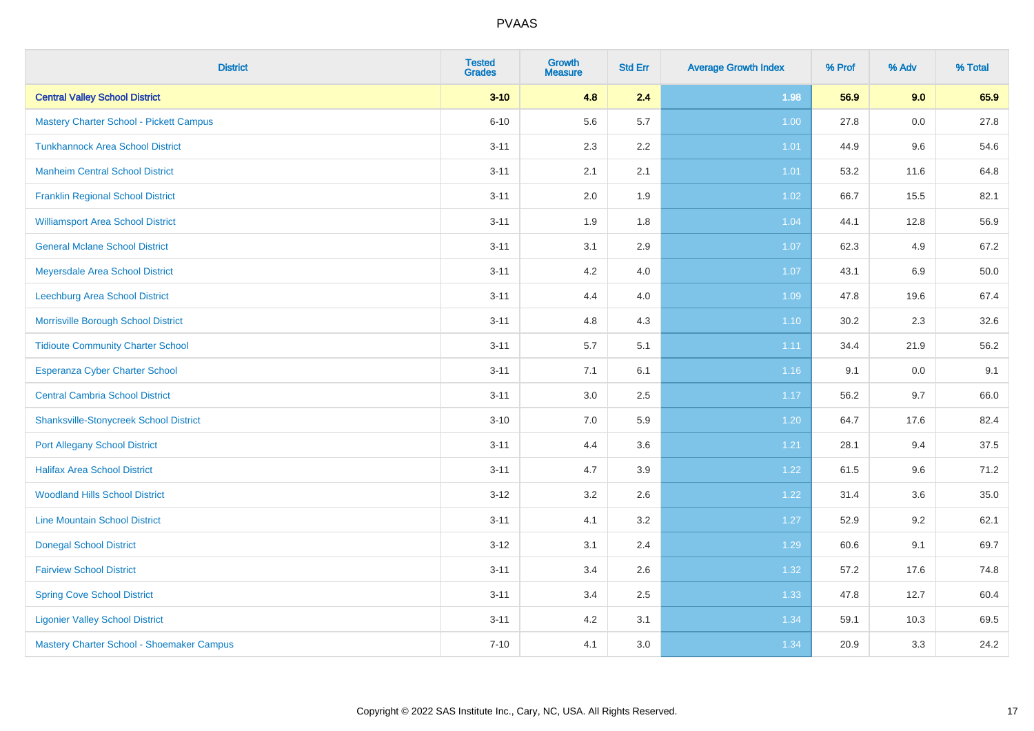| <b>District</b>                                | <b>Tested</b><br><b>Grades</b> | <b>Growth</b><br><b>Measure</b> | <b>Std Err</b> | <b>Average Growth Index</b> | % Prof | % Adv | % Total |
|------------------------------------------------|--------------------------------|---------------------------------|----------------|-----------------------------|--------|-------|---------|
| <b>Central Valley School District</b>          | $3 - 10$                       | 4.8                             | 2.4            | 1.98                        | 56.9   | 9.0   | 65.9    |
| <b>Mastery Charter School - Pickett Campus</b> | $6 - 10$                       | 5.6                             | 5.7            | 1.00                        | 27.8   | 0.0   | 27.8    |
| <b>Tunkhannock Area School District</b>        | $3 - 11$                       | 2.3                             | 2.2            | 1.01                        | 44.9   | 9.6   | 54.6    |
| <b>Manheim Central School District</b>         | $3 - 11$                       | 2.1                             | 2.1            | 1.01                        | 53.2   | 11.6  | 64.8    |
| <b>Franklin Regional School District</b>       | $3 - 11$                       | 2.0                             | 1.9            | 1.02                        | 66.7   | 15.5  | 82.1    |
| <b>Williamsport Area School District</b>       | $3 - 11$                       | 1.9                             | 1.8            | 1.04                        | 44.1   | 12.8  | 56.9    |
| <b>General Mclane School District</b>          | $3 - 11$                       | 3.1                             | 2.9            | 1.07                        | 62.3   | 4.9   | 67.2    |
| Meyersdale Area School District                | $3 - 11$                       | 4.2                             | 4.0            | 1.07                        | 43.1   | 6.9   | 50.0    |
| Leechburg Area School District                 | $3 - 11$                       | 4.4                             | 4.0            | 1.09                        | 47.8   | 19.6  | 67.4    |
| Morrisville Borough School District            | $3 - 11$                       | 4.8                             | 4.3            | $1.10$                      | 30.2   | 2.3   | 32.6    |
| <b>Tidioute Community Charter School</b>       | $3 - 11$                       | 5.7                             | 5.1            | 1.11                        | 34.4   | 21.9  | 56.2    |
| Esperanza Cyber Charter School                 | $3 - 11$                       | 7.1                             | 6.1            | 1.16                        | 9.1    | 0.0   | 9.1     |
| <b>Central Cambria School District</b>         | $3 - 11$                       | $3.0\,$                         | 2.5            | 1.17                        | 56.2   | 9.7   | 66.0    |
| <b>Shanksville-Stonycreek School District</b>  | $3 - 10$                       | 7.0                             | 5.9            | $1.20$                      | 64.7   | 17.6  | 82.4    |
| <b>Port Allegany School District</b>           | $3 - 11$                       | 4.4                             | 3.6            | 1.21                        | 28.1   | 9.4   | 37.5    |
| <b>Halifax Area School District</b>            | $3 - 11$                       | 4.7                             | 3.9            | $1.22$                      | 61.5   | 9.6   | 71.2    |
| <b>Woodland Hills School District</b>          | $3 - 12$                       | 3.2                             | 2.6            | 1.22                        | 31.4   | 3.6   | 35.0    |
| <b>Line Mountain School District</b>           | $3 - 11$                       | 4.1                             | 3.2            | 1.27                        | 52.9   | 9.2   | 62.1    |
| <b>Donegal School District</b>                 | $3 - 12$                       | 3.1                             | 2.4            | 1.29                        | 60.6   | 9.1   | 69.7    |
| <b>Fairview School District</b>                | $3 - 11$                       | 3.4                             | 2.6            | 1.32                        | 57.2   | 17.6  | 74.8    |
| <b>Spring Cove School District</b>             | $3 - 11$                       | 3.4                             | 2.5            | 1.33                        | 47.8   | 12.7  | 60.4    |
| <b>Ligonier Valley School District</b>         | $3 - 11$                       | 4.2                             | 3.1            | 1.34                        | 59.1   | 10.3  | 69.5    |
| Mastery Charter School - Shoemaker Campus      | $7 - 10$                       | 4.1                             | 3.0            | 1.34                        | 20.9   | 3.3   | 24.2    |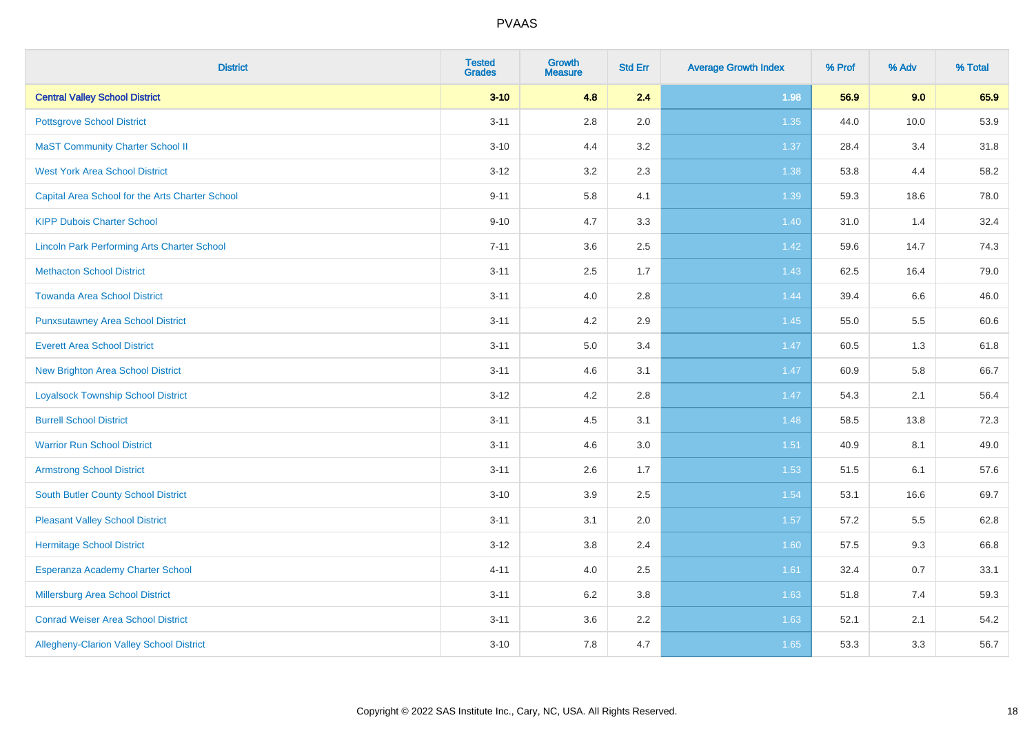| <b>District</b>                                    | <b>Tested</b><br><b>Grades</b> | <b>Growth</b><br><b>Measure</b> | <b>Std Err</b> | <b>Average Growth Index</b> | % Prof | % Adv   | % Total |
|----------------------------------------------------|--------------------------------|---------------------------------|----------------|-----------------------------|--------|---------|---------|
| <b>Central Valley School District</b>              | $3 - 10$                       | 4.8                             | 2.4            | 1.98                        | 56.9   | 9.0     | 65.9    |
| <b>Pottsgrove School District</b>                  | $3 - 11$                       | $2.8\,$                         | 2.0            | 1.35                        | 44.0   | 10.0    | 53.9    |
| <b>MaST Community Charter School II</b>            | $3 - 10$                       | 4.4                             | 3.2            | 1.37                        | 28.4   | 3.4     | 31.8    |
| <b>West York Area School District</b>              | $3 - 12$                       | 3.2                             | 2.3            | 1.38                        | 53.8   | 4.4     | 58.2    |
| Capital Area School for the Arts Charter School    | $9 - 11$                       | 5.8                             | 4.1            | 1.39                        | 59.3   | 18.6    | 78.0    |
| <b>KIPP Dubois Charter School</b>                  | $9 - 10$                       | 4.7                             | 3.3            | 1.40                        | 31.0   | 1.4     | 32.4    |
| <b>Lincoln Park Performing Arts Charter School</b> | $7 - 11$                       | 3.6                             | 2.5            | 1.42                        | 59.6   | 14.7    | 74.3    |
| <b>Methacton School District</b>                   | $3 - 11$                       | 2.5                             | 1.7            | 1.43                        | 62.5   | 16.4    | 79.0    |
| <b>Towanda Area School District</b>                | $3 - 11$                       | 4.0                             | 2.8            | 1.44                        | 39.4   | $6.6\,$ | 46.0    |
| <b>Punxsutawney Area School District</b>           | $3 - 11$                       | 4.2                             | 2.9            | 1.45                        | 55.0   | 5.5     | 60.6    |
| <b>Everett Area School District</b>                | $3 - 11$                       | 5.0                             | 3.4            | 1.47                        | 60.5   | 1.3     | 61.8    |
| <b>New Brighton Area School District</b>           | $3 - 11$                       | 4.6                             | 3.1            | 1.47                        | 60.9   | 5.8     | 66.7    |
| <b>Loyalsock Township School District</b>          | $3 - 12$                       | 4.2                             | 2.8            | 1.47                        | 54.3   | 2.1     | 56.4    |
| <b>Burrell School District</b>                     | $3 - 11$                       | 4.5                             | 3.1            | 1.48                        | 58.5   | 13.8    | 72.3    |
| <b>Warrior Run School District</b>                 | $3 - 11$                       | 4.6                             | 3.0            | 1.51                        | 40.9   | 8.1     | 49.0    |
| <b>Armstrong School District</b>                   | $3 - 11$                       | 2.6                             | 1.7            | 1.53                        | 51.5   | 6.1     | 57.6    |
| <b>South Butler County School District</b>         | $3 - 10$                       | 3.9                             | 2.5            | 1.54                        | 53.1   | 16.6    | 69.7    |
| <b>Pleasant Valley School District</b>             | $3 - 11$                       | 3.1                             | 2.0            | 1.57                        | 57.2   | 5.5     | 62.8    |
| <b>Hermitage School District</b>                   | $3 - 12$                       | $3.8\,$                         | 2.4            | 1.60                        | 57.5   | 9.3     | 66.8    |
| Esperanza Academy Charter School                   | $4 - 11$                       | 4.0                             | 2.5            | 1.61                        | 32.4   | 0.7     | 33.1    |
| Millersburg Area School District                   | $3 - 11$                       | 6.2                             | 3.8            | 1.63                        | 51.8   | 7.4     | 59.3    |
| <b>Conrad Weiser Area School District</b>          | $3 - 11$                       | 3.6                             | 2.2            | 1.63                        | 52.1   | 2.1     | 54.2    |
| Allegheny-Clarion Valley School District           | $3 - 10$                       | 7.8                             | 4.7            | 1.65                        | 53.3   | 3.3     | 56.7    |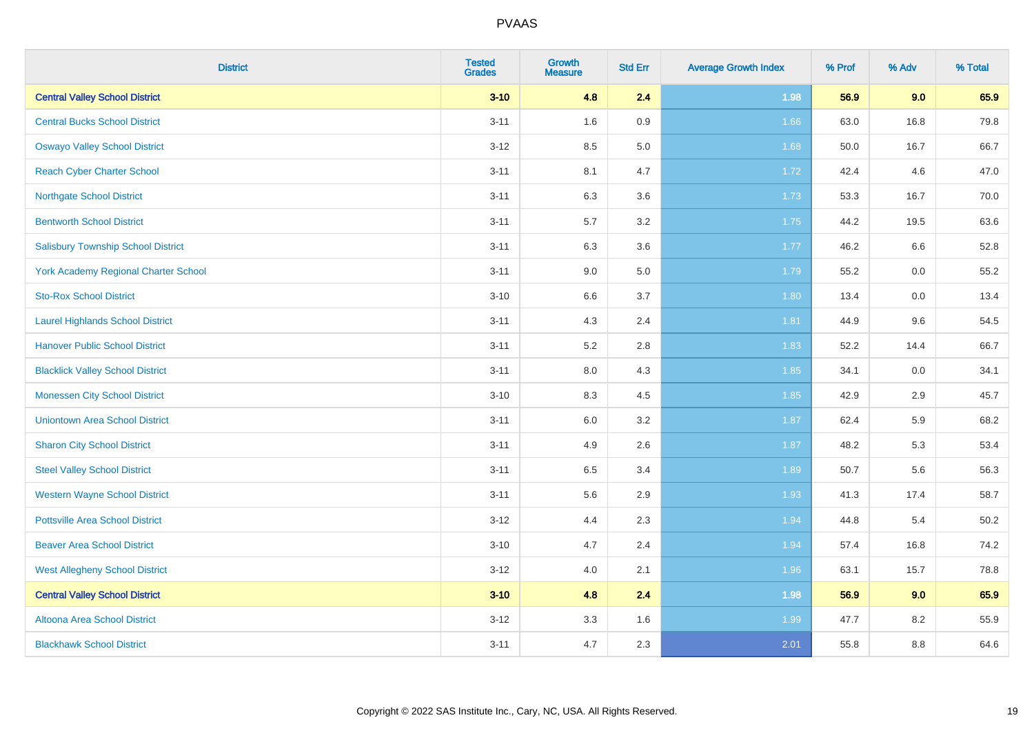| <b>District</b>                             | <b>Tested</b><br><b>Grades</b> | <b>Growth</b><br><b>Measure</b> | <b>Std Err</b> | <b>Average Growth Index</b> | % Prof | % Adv   | % Total |
|---------------------------------------------|--------------------------------|---------------------------------|----------------|-----------------------------|--------|---------|---------|
| <b>Central Valley School District</b>       | $3 - 10$                       | 4.8                             | 2.4            | 1.98                        | 56.9   | 9.0     | 65.9    |
| <b>Central Bucks School District</b>        | $3 - 11$                       | 1.6                             | 0.9            | 1.66                        | 63.0   | 16.8    | 79.8    |
| <b>Oswayo Valley School District</b>        | $3 - 12$                       | 8.5                             | 5.0            | 1.68                        | 50.0   | 16.7    | 66.7    |
| <b>Reach Cyber Charter School</b>           | $3 - 11$                       | 8.1                             | 4.7            | 1.72                        | 42.4   | 4.6     | 47.0    |
| <b>Northgate School District</b>            | $3 - 11$                       | 6.3                             | 3.6            | 1.73                        | 53.3   | 16.7    | 70.0    |
| <b>Bentworth School District</b>            | $3 - 11$                       | 5.7                             | 3.2            | 1.75                        | 44.2   | 19.5    | 63.6    |
| <b>Salisbury Township School District</b>   | $3 - 11$                       | 6.3                             | 3.6            | 1.77                        | 46.2   | 6.6     | 52.8    |
| <b>York Academy Regional Charter School</b> | $3 - 11$                       | 9.0                             | 5.0            | 1.79                        | 55.2   | 0.0     | 55.2    |
| <b>Sto-Rox School District</b>              | $3 - 10$                       | 6.6                             | 3.7            | 1.80                        | 13.4   | $0.0\,$ | 13.4    |
| <b>Laurel Highlands School District</b>     | $3 - 11$                       | 4.3                             | 2.4            | 1.81                        | 44.9   | 9.6     | 54.5    |
| <b>Hanover Public School District</b>       | $3 - 11$                       | 5.2                             | 2.8            | 1.83                        | 52.2   | 14.4    | 66.7    |
| <b>Blacklick Valley School District</b>     | $3 - 11$                       | 8.0                             | 4.3            | 1.85                        | 34.1   | 0.0     | 34.1    |
| <b>Monessen City School District</b>        | $3 - 10$                       | 8.3                             | 4.5            | 1.85                        | 42.9   | 2.9     | 45.7    |
| <b>Uniontown Area School District</b>       | $3 - 11$                       | 6.0                             | 3.2            | 1.87                        | 62.4   | 5.9     | 68.2    |
| <b>Sharon City School District</b>          | $3 - 11$                       | 4.9                             | 2.6            | 1.87                        | 48.2   | 5.3     | 53.4    |
| <b>Steel Valley School District</b>         | $3 - 11$                       | 6.5                             | 3.4            | 1.89                        | 50.7   | 5.6     | 56.3    |
| <b>Western Wayne School District</b>        | $3 - 11$                       | 5.6                             | 2.9            | 1.93                        | 41.3   | 17.4    | 58.7    |
| <b>Pottsville Area School District</b>      | $3 - 12$                       | 4.4                             | 2.3            | 1.94                        | 44.8   | 5.4     | 50.2    |
| <b>Beaver Area School District</b>          | $3 - 10$                       | 4.7                             | 2.4            | 1.94                        | 57.4   | 16.8    | 74.2    |
| <b>West Allegheny School District</b>       | $3 - 12$                       | 4.0                             | 2.1            | 1.96                        | 63.1   | 15.7    | 78.8    |
| <b>Central Valley School District</b>       | $3 - 10$                       | 4.8                             | 2.4            | 1.98                        | 56.9   | 9.0     | 65.9    |
| Altoona Area School District                | $3 - 12$                       | 3.3                             | 1.6            | 1.99                        | 47.7   | 8.2     | 55.9    |
| <b>Blackhawk School District</b>            | $3 - 11$                       | 4.7                             | 2.3            | 2.01                        | 55.8   | 8.8     | 64.6    |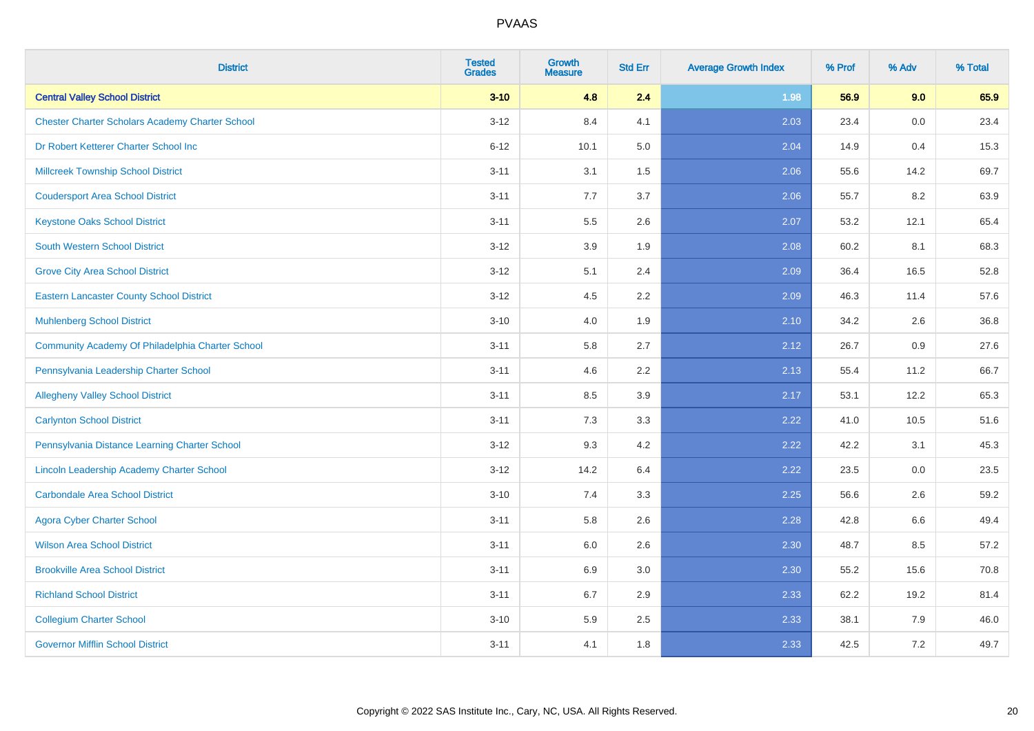| <b>District</b>                                        | <b>Tested</b><br><b>Grades</b> | <b>Growth</b><br><b>Measure</b> | <b>Std Err</b> | <b>Average Growth Index</b> | % Prof | % Adv | % Total |
|--------------------------------------------------------|--------------------------------|---------------------------------|----------------|-----------------------------|--------|-------|---------|
| <b>Central Valley School District</b>                  | $3 - 10$                       | 4.8                             | 2.4            | 1.98                        | 56.9   | 9.0   | 65.9    |
| <b>Chester Charter Scholars Academy Charter School</b> | $3 - 12$                       | 8.4                             | 4.1            | 2.03                        | 23.4   | 0.0   | 23.4    |
| Dr Robert Ketterer Charter School Inc                  | $6 - 12$                       | 10.1                            | 5.0            | 2.04                        | 14.9   | 0.4   | 15.3    |
| <b>Millcreek Township School District</b>              | $3 - 11$                       | 3.1                             | 1.5            | 2.06                        | 55.6   | 14.2  | 69.7    |
| <b>Coudersport Area School District</b>                | $3 - 11$                       | 7.7                             | 3.7            | 2.06                        | 55.7   | 8.2   | 63.9    |
| <b>Keystone Oaks School District</b>                   | $3 - 11$                       | 5.5                             | 2.6            | 2.07                        | 53.2   | 12.1  | 65.4    |
| <b>South Western School District</b>                   | $3 - 12$                       | 3.9                             | 1.9            | 2.08                        | 60.2   | 8.1   | 68.3    |
| <b>Grove City Area School District</b>                 | $3 - 12$                       | 5.1                             | 2.4            | 2.09                        | 36.4   | 16.5  | 52.8    |
| <b>Eastern Lancaster County School District</b>        | $3 - 12$                       | 4.5                             | 2.2            | 2.09                        | 46.3   | 11.4  | 57.6    |
| <b>Muhlenberg School District</b>                      | $3 - 10$                       | 4.0                             | 1.9            | 2.10                        | 34.2   | 2.6   | 36.8    |
| Community Academy Of Philadelphia Charter School       | $3 - 11$                       | 5.8                             | 2.7            | 2.12                        | 26.7   | 0.9   | 27.6    |
| Pennsylvania Leadership Charter School                 | $3 - 11$                       | 4.6                             | 2.2            | 2.13                        | 55.4   | 11.2  | 66.7    |
| <b>Allegheny Valley School District</b>                | $3 - 11$                       | 8.5                             | 3.9            | 2.17                        | 53.1   | 12.2  | 65.3    |
| <b>Carlynton School District</b>                       | $3 - 11$                       | 7.3                             | 3.3            | 2.22                        | 41.0   | 10.5  | 51.6    |
| Pennsylvania Distance Learning Charter School          | $3 - 12$                       | 9.3                             | 4.2            | 2.22                        | 42.2   | 3.1   | 45.3    |
| Lincoln Leadership Academy Charter School              | $3 - 12$                       | 14.2                            | 6.4            | 2.22                        | 23.5   | 0.0   | 23.5    |
| <b>Carbondale Area School District</b>                 | $3 - 10$                       | 7.4                             | 3.3            | 2.25                        | 56.6   | 2.6   | 59.2    |
| <b>Agora Cyber Charter School</b>                      | $3 - 11$                       | 5.8                             | 2.6            | 2.28                        | 42.8   | 6.6   | 49.4    |
| <b>Wilson Area School District</b>                     | $3 - 11$                       | 6.0                             | 2.6            | 2.30                        | 48.7   | 8.5   | 57.2    |
| <b>Brookville Area School District</b>                 | $3 - 11$                       | 6.9                             | 3.0            | 2.30                        | 55.2   | 15.6  | 70.8    |
| <b>Richland School District</b>                        | $3 - 11$                       | 6.7                             | 2.9            | 2.33                        | 62.2   | 19.2  | 81.4    |
| <b>Collegium Charter School</b>                        | $3 - 10$                       | 5.9                             | 2.5            | 2.33                        | 38.1   | 7.9   | 46.0    |
| <b>Governor Mifflin School District</b>                | $3 - 11$                       | 4.1                             | 1.8            | 2.33                        | 42.5   | 7.2   | 49.7    |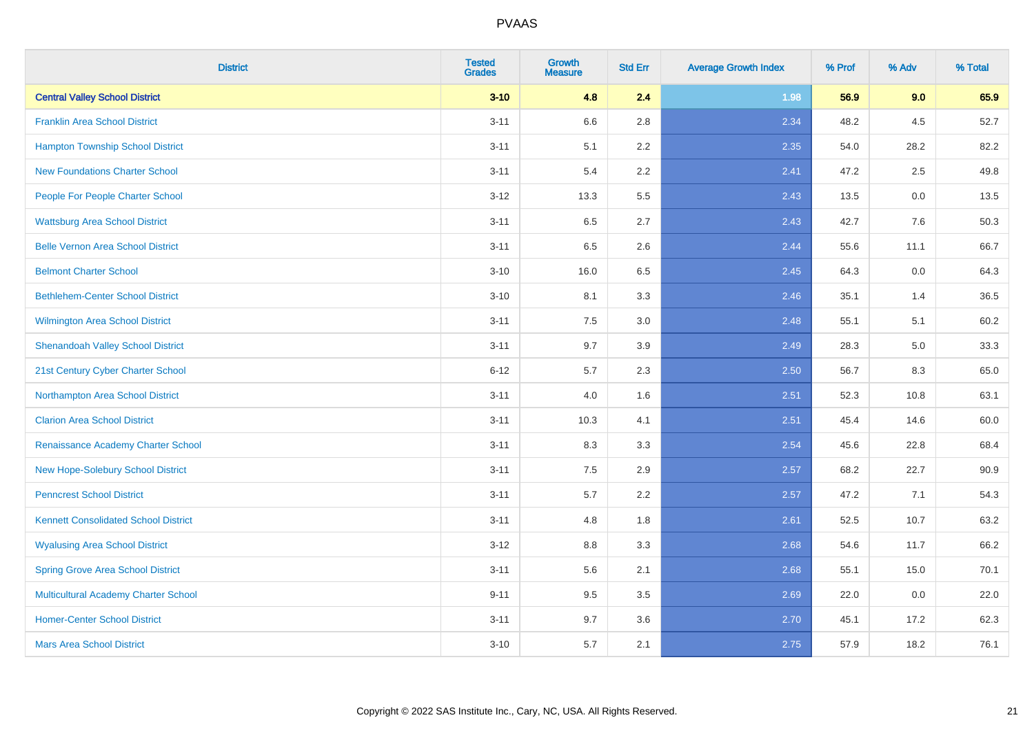| <b>District</b>                             | <b>Tested</b><br><b>Grades</b> | <b>Growth</b><br><b>Measure</b> | <b>Std Err</b> | <b>Average Growth Index</b> | % Prof | % Adv | % Total |
|---------------------------------------------|--------------------------------|---------------------------------|----------------|-----------------------------|--------|-------|---------|
| <b>Central Valley School District</b>       | $3 - 10$                       | 4.8                             | 2.4            | 1.98                        | 56.9   | 9.0   | 65.9    |
| <b>Franklin Area School District</b>        | $3 - 11$                       | 6.6                             | 2.8            | 2.34                        | 48.2   | 4.5   | 52.7    |
| <b>Hampton Township School District</b>     | $3 - 11$                       | 5.1                             | 2.2            | 2.35                        | 54.0   | 28.2  | 82.2    |
| <b>New Foundations Charter School</b>       | $3 - 11$                       | 5.4                             | 2.2            | 2.41                        | 47.2   | 2.5   | 49.8    |
| People For People Charter School            | $3 - 12$                       | 13.3                            | 5.5            | 2.43                        | 13.5   | 0.0   | 13.5    |
| <b>Wattsburg Area School District</b>       | $3 - 11$                       | 6.5                             | 2.7            | 2.43                        | 42.7   | 7.6   | 50.3    |
| <b>Belle Vernon Area School District</b>    | $3 - 11$                       | 6.5                             | 2.6            | 2.44                        | 55.6   | 11.1  | 66.7    |
| <b>Belmont Charter School</b>               | $3 - 10$                       | 16.0                            | 6.5            | 2.45                        | 64.3   | 0.0   | 64.3    |
| <b>Bethlehem-Center School District</b>     | $3 - 10$                       | 8.1                             | 3.3            | 2.46                        | 35.1   | 1.4   | 36.5    |
| <b>Wilmington Area School District</b>      | $3 - 11$                       | 7.5                             | 3.0            | 2.48                        | 55.1   | 5.1   | 60.2    |
| <b>Shenandoah Valley School District</b>    | $3 - 11$                       | 9.7                             | 3.9            | 2.49                        | 28.3   | 5.0   | 33.3    |
| 21st Century Cyber Charter School           | $6 - 12$                       | 5.7                             | 2.3            | 2.50                        | 56.7   | 8.3   | 65.0    |
| Northampton Area School District            | $3 - 11$                       | 4.0                             | 1.6            | 2.51                        | 52.3   | 10.8  | 63.1    |
| <b>Clarion Area School District</b>         | $3 - 11$                       | 10.3                            | 4.1            | 2.51                        | 45.4   | 14.6  | 60.0    |
| Renaissance Academy Charter School          | $3 - 11$                       | 8.3                             | 3.3            | 2.54                        | 45.6   | 22.8  | 68.4    |
| New Hope-Solebury School District           | $3 - 11$                       | $7.5\,$                         | 2.9            | 2.57                        | 68.2   | 22.7  | 90.9    |
| <b>Penncrest School District</b>            | $3 - 11$                       | 5.7                             | 2.2            | 2.57                        | 47.2   | 7.1   | 54.3    |
| <b>Kennett Consolidated School District</b> | $3 - 11$                       | 4.8                             | 1.8            | 2.61                        | 52.5   | 10.7  | 63.2    |
| <b>Wyalusing Area School District</b>       | $3 - 12$                       | $8.8\,$                         | 3.3            | 2.68                        | 54.6   | 11.7  | 66.2    |
| <b>Spring Grove Area School District</b>    | $3 - 11$                       | 5.6                             | 2.1            | 2.68                        | 55.1   | 15.0  | 70.1    |
| <b>Multicultural Academy Charter School</b> | $9 - 11$                       | 9.5                             | 3.5            | 2.69                        | 22.0   | 0.0   | 22.0    |
| <b>Homer-Center School District</b>         | $3 - 11$                       | 9.7                             | 3.6            | 2.70                        | 45.1   | 17.2  | 62.3    |
| <b>Mars Area School District</b>            | $3 - 10$                       | 5.7                             | 2.1            | 2.75                        | 57.9   | 18.2  | 76.1    |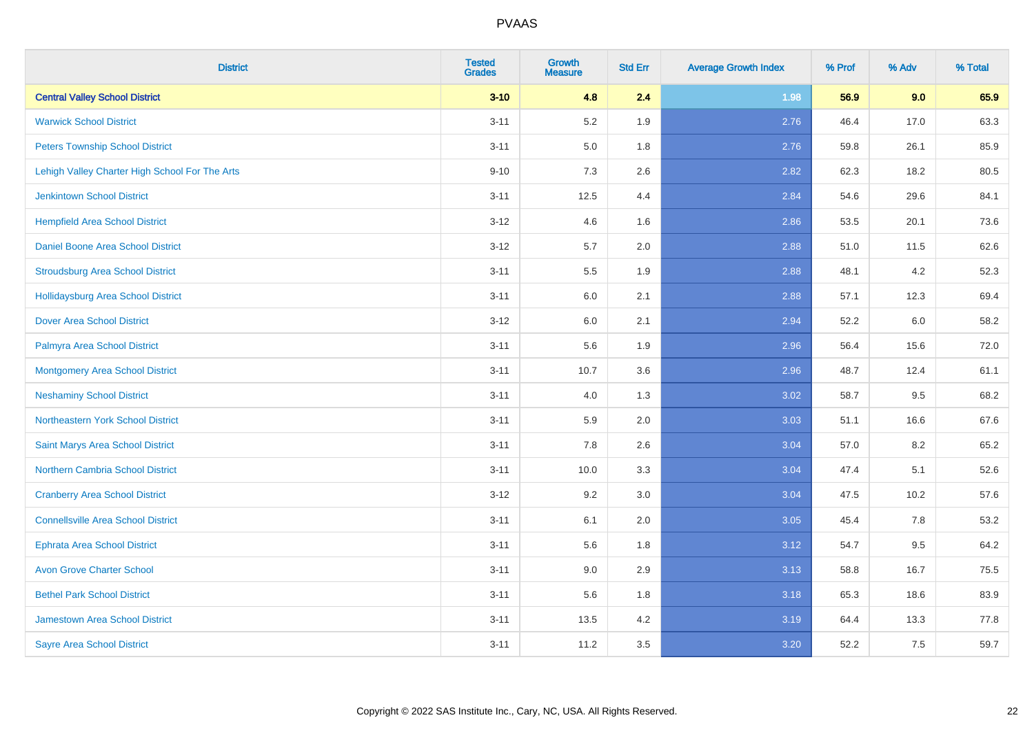| <b>District</b>                                | <b>Tested</b><br><b>Grades</b> | <b>Growth</b><br><b>Measure</b> | <b>Std Err</b> | <b>Average Growth Index</b> | % Prof | % Adv | % Total |
|------------------------------------------------|--------------------------------|---------------------------------|----------------|-----------------------------|--------|-------|---------|
| <b>Central Valley School District</b>          | $3 - 10$                       | 4.8                             | 2.4            | 1.98                        | 56.9   | 9.0   | 65.9    |
| <b>Warwick School District</b>                 | $3 - 11$                       | 5.2                             | 1.9            | 2.76                        | 46.4   | 17.0  | 63.3    |
| <b>Peters Township School District</b>         | $3 - 11$                       | 5.0                             | 1.8            | 2.76                        | 59.8   | 26.1  | 85.9    |
| Lehigh Valley Charter High School For The Arts | $9 - 10$                       | 7.3                             | 2.6            | 2.82                        | 62.3   | 18.2  | 80.5    |
| <b>Jenkintown School District</b>              | $3 - 11$                       | 12.5                            | 4.4            | 2.84                        | 54.6   | 29.6  | 84.1    |
| <b>Hempfield Area School District</b>          | $3 - 12$                       | 4.6                             | 1.6            | 2.86                        | 53.5   | 20.1  | 73.6    |
| Daniel Boone Area School District              | $3 - 12$                       | $5.7\,$                         | 2.0            | 2.88                        | 51.0   | 11.5  | 62.6    |
| <b>Stroudsburg Area School District</b>        | $3 - 11$                       | $5.5\,$                         | 1.9            | 2.88                        | 48.1   | 4.2   | 52.3    |
| <b>Hollidaysburg Area School District</b>      | $3 - 11$                       | 6.0                             | 2.1            | 2.88                        | 57.1   | 12.3  | 69.4    |
| <b>Dover Area School District</b>              | $3 - 12$                       | $6.0\,$                         | 2.1            | 2.94                        | 52.2   | 6.0   | 58.2    |
| Palmyra Area School District                   | $3 - 11$                       | 5.6                             | 1.9            | 2.96                        | 56.4   | 15.6  | 72.0    |
| Montgomery Area School District                | $3 - 11$                       | 10.7                            | 3.6            | 2.96                        | 48.7   | 12.4  | 61.1    |
| <b>Neshaminy School District</b>               | $3 - 11$                       | 4.0                             | 1.3            | 3.02                        | 58.7   | 9.5   | 68.2    |
| Northeastern York School District              | $3 - 11$                       | 5.9                             | 2.0            | 3.03                        | 51.1   | 16.6  | 67.6    |
| Saint Marys Area School District               | $3 - 11$                       | 7.8                             | 2.6            | 3.04                        | 57.0   | 8.2   | 65.2    |
| <b>Northern Cambria School District</b>        | $3 - 11$                       | 10.0                            | 3.3            | 3.04                        | 47.4   | 5.1   | 52.6    |
| <b>Cranberry Area School District</b>          | $3 - 12$                       | 9.2                             | 3.0            | 3.04                        | 47.5   | 10.2  | 57.6    |
| <b>Connellsville Area School District</b>      | $3 - 11$                       | 6.1                             | 2.0            | 3.05                        | 45.4   | 7.8   | 53.2    |
| <b>Ephrata Area School District</b>            | $3 - 11$                       | 5.6                             | 1.8            | 3.12                        | 54.7   | 9.5   | 64.2    |
| <b>Avon Grove Charter School</b>               | $3 - 11$                       | 9.0                             | 2.9            | 3.13                        | 58.8   | 16.7  | 75.5    |
| <b>Bethel Park School District</b>             | $3 - 11$                       | 5.6                             | 1.8            | 3.18                        | 65.3   | 18.6  | 83.9    |
| <b>Jamestown Area School District</b>          | $3 - 11$                       | 13.5                            | 4.2            | 3.19                        | 64.4   | 13.3  | 77.8    |
| <b>Sayre Area School District</b>              | $3 - 11$                       | 11.2                            | 3.5            | 3.20                        | 52.2   | 7.5   | 59.7    |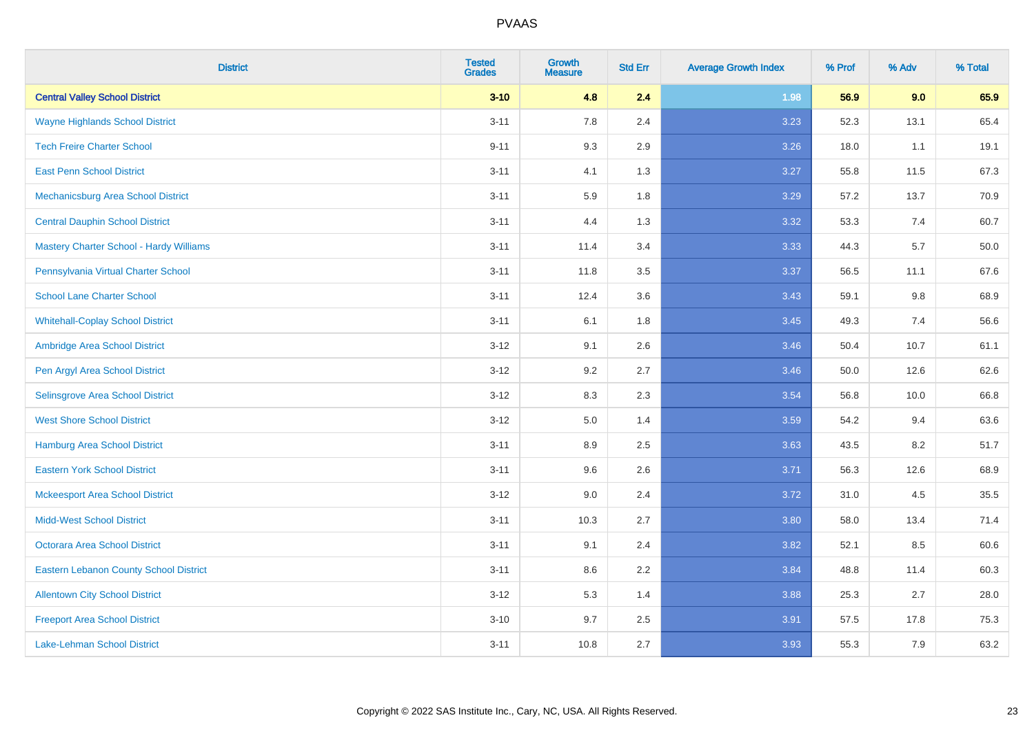| <b>District</b>                                | <b>Tested</b><br><b>Grades</b> | <b>Growth</b><br><b>Measure</b> | <b>Std Err</b> | <b>Average Growth Index</b> | % Prof | % Adv | % Total |
|------------------------------------------------|--------------------------------|---------------------------------|----------------|-----------------------------|--------|-------|---------|
| <b>Central Valley School District</b>          | $3 - 10$                       | 4.8                             | 2.4            | 1.98                        | 56.9   | 9.0   | 65.9    |
| <b>Wayne Highlands School District</b>         | $3 - 11$                       | 7.8                             | 2.4            | 3.23                        | 52.3   | 13.1  | 65.4    |
| <b>Tech Freire Charter School</b>              | $9 - 11$                       | 9.3                             | 2.9            | 3.26                        | 18.0   | 1.1   | 19.1    |
| <b>East Penn School District</b>               | $3 - 11$                       | 4.1                             | 1.3            | 3.27                        | 55.8   | 11.5  | 67.3    |
| Mechanicsburg Area School District             | $3 - 11$                       | 5.9                             | 1.8            | 3.29                        | 57.2   | 13.7  | 70.9    |
| <b>Central Dauphin School District</b>         | $3 - 11$                       | 4.4                             | 1.3            | 3.32                        | 53.3   | 7.4   | 60.7    |
| <b>Mastery Charter School - Hardy Williams</b> | $3 - 11$                       | 11.4                            | 3.4            | 3.33                        | 44.3   | 5.7   | 50.0    |
| Pennsylvania Virtual Charter School            | $3 - 11$                       | 11.8                            | 3.5            | 3.37                        | 56.5   | 11.1  | 67.6    |
| <b>School Lane Charter School</b>              | $3 - 11$                       | 12.4                            | 3.6            | 3.43                        | 59.1   | 9.8   | 68.9    |
| <b>Whitehall-Coplay School District</b>        | $3 - 11$                       | 6.1                             | 1.8            | 3.45                        | 49.3   | 7.4   | 56.6    |
| Ambridge Area School District                  | $3 - 12$                       | 9.1                             | 2.6            | 3.46                        | 50.4   | 10.7  | 61.1    |
| Pen Argyl Area School District                 | $3 - 12$                       | 9.2                             | 2.7            | 3.46                        | 50.0   | 12.6  | 62.6    |
| Selinsgrove Area School District               | $3 - 12$                       | 8.3                             | 2.3            | 3.54                        | 56.8   | 10.0  | 66.8    |
| <b>West Shore School District</b>              | $3-12$                         | 5.0                             | 1.4            | 3.59                        | 54.2   | 9.4   | 63.6    |
| <b>Hamburg Area School District</b>            | $3 - 11$                       | 8.9                             | 2.5            | 3.63                        | 43.5   | 8.2   | 51.7    |
| <b>Eastern York School District</b>            | $3 - 11$                       | 9.6                             | 2.6            | 3.71                        | 56.3   | 12.6  | 68.9    |
| <b>Mckeesport Area School District</b>         | $3 - 12$                       | 9.0                             | 2.4            | 3.72                        | 31.0   | 4.5   | 35.5    |
| <b>Midd-West School District</b>               | $3 - 11$                       | 10.3                            | 2.7            | 3.80                        | 58.0   | 13.4  | 71.4    |
| <b>Octorara Area School District</b>           | $3 - 11$                       | 9.1                             | 2.4            | 3.82                        | 52.1   | 8.5   | 60.6    |
| <b>Eastern Lebanon County School District</b>  | $3 - 11$                       | 8.6                             | 2.2            | 3.84                        | 48.8   | 11.4  | 60.3    |
| <b>Allentown City School District</b>          | $3 - 12$                       | 5.3                             | 1.4            | 3.88                        | 25.3   | 2.7   | 28.0    |
| <b>Freeport Area School District</b>           | $3 - 10$                       | 9.7                             | 2.5            | 3.91                        | 57.5   | 17.8  | 75.3    |
| <b>Lake-Lehman School District</b>             | $3 - 11$                       | 10.8                            | 2.7            | 3.93                        | 55.3   | 7.9   | 63.2    |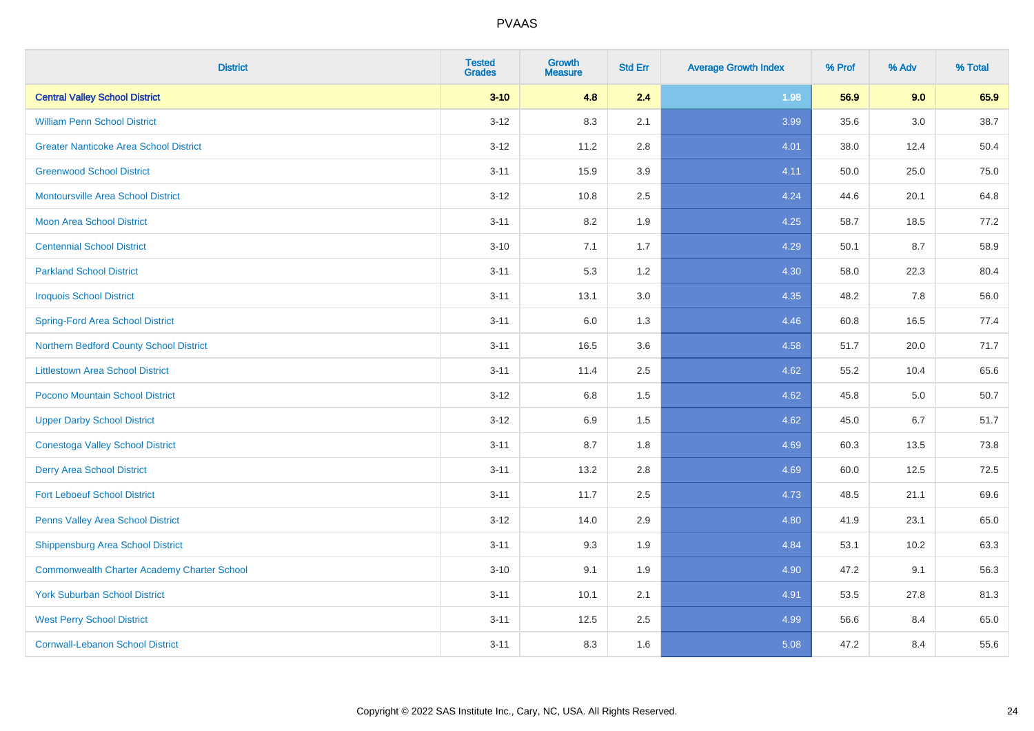| <b>District</b>                                    | <b>Tested</b><br><b>Grades</b> | <b>Growth</b><br><b>Measure</b> | <b>Std Err</b> | <b>Average Growth Index</b> | % Prof | % Adv   | % Total |
|----------------------------------------------------|--------------------------------|---------------------------------|----------------|-----------------------------|--------|---------|---------|
| <b>Central Valley School District</b>              | $3 - 10$                       | 4.8                             | 2.4            | 1.98                        | 56.9   | 9.0     | 65.9    |
| <b>William Penn School District</b>                | $3 - 12$                       | 8.3                             | 2.1            | 3.99                        | 35.6   | $3.0\,$ | 38.7    |
| <b>Greater Nanticoke Area School District</b>      | $3 - 12$                       | 11.2                            | 2.8            | 4.01                        | 38.0   | 12.4    | 50.4    |
| <b>Greenwood School District</b>                   | $3 - 11$                       | 15.9                            | 3.9            | 4.11                        | 50.0   | 25.0    | 75.0    |
| <b>Montoursville Area School District</b>          | $3 - 12$                       | 10.8                            | 2.5            | 4.24                        | 44.6   | 20.1    | 64.8    |
| <b>Moon Area School District</b>                   | $3 - 11$                       | 8.2                             | 1.9            | 4.25                        | 58.7   | 18.5    | 77.2    |
| <b>Centennial School District</b>                  | $3 - 10$                       | 7.1                             | 1.7            | 4.29                        | 50.1   | 8.7     | 58.9    |
| <b>Parkland School District</b>                    | $3 - 11$                       | 5.3                             | 1.2            | 4.30                        | 58.0   | 22.3    | 80.4    |
| <b>Iroquois School District</b>                    | $3 - 11$                       | 13.1                            | 3.0            | 4.35                        | 48.2   | 7.8     | 56.0    |
| <b>Spring-Ford Area School District</b>            | $3 - 11$                       | 6.0                             | 1.3            | 4.46                        | 60.8   | 16.5    | 77.4    |
| Northern Bedford County School District            | $3 - 11$                       | 16.5                            | 3.6            | 4.58                        | 51.7   | 20.0    | 71.7    |
| <b>Littlestown Area School District</b>            | $3 - 11$                       | 11.4                            | 2.5            | 4.62                        | 55.2   | 10.4    | 65.6    |
| Pocono Mountain School District                    | $3 - 12$                       | $6.8\,$                         | 1.5            | 4.62                        | 45.8   | $5.0\,$ | 50.7    |
| <b>Upper Darby School District</b>                 | $3-12$                         | 6.9                             | 1.5            | 4.62                        | 45.0   | 6.7     | 51.7    |
| <b>Conestoga Valley School District</b>            | $3 - 11$                       | 8.7                             | 1.8            | 4.69                        | 60.3   | 13.5    | 73.8    |
| <b>Derry Area School District</b>                  | $3 - 11$                       | 13.2                            | 2.8            | 4.69                        | 60.0   | 12.5    | 72.5    |
| <b>Fort Leboeuf School District</b>                | $3 - 11$                       | 11.7                            | 2.5            | 4.73                        | 48.5   | 21.1    | 69.6    |
| Penns Valley Area School District                  | $3 - 12$                       | 14.0                            | 2.9            | 4.80                        | 41.9   | 23.1    | 65.0    |
| Shippensburg Area School District                  | $3 - 11$                       | 9.3                             | 1.9            | 4.84                        | 53.1   | 10.2    | 63.3    |
| <b>Commonwealth Charter Academy Charter School</b> | $3 - 10$                       | 9.1                             | 1.9            | 4.90                        | 47.2   | 9.1     | 56.3    |
| <b>York Suburban School District</b>               | $3 - 11$                       | 10.1                            | 2.1            | 4.91                        | 53.5   | 27.8    | 81.3    |
| <b>West Perry School District</b>                  | $3 - 11$                       | 12.5                            | 2.5            | 4.99                        | 56.6   | 8.4     | 65.0    |
| <b>Cornwall-Lebanon School District</b>            | $3 - 11$                       | 8.3                             | 1.6            | 5.08                        | 47.2   | 8.4     | 55.6    |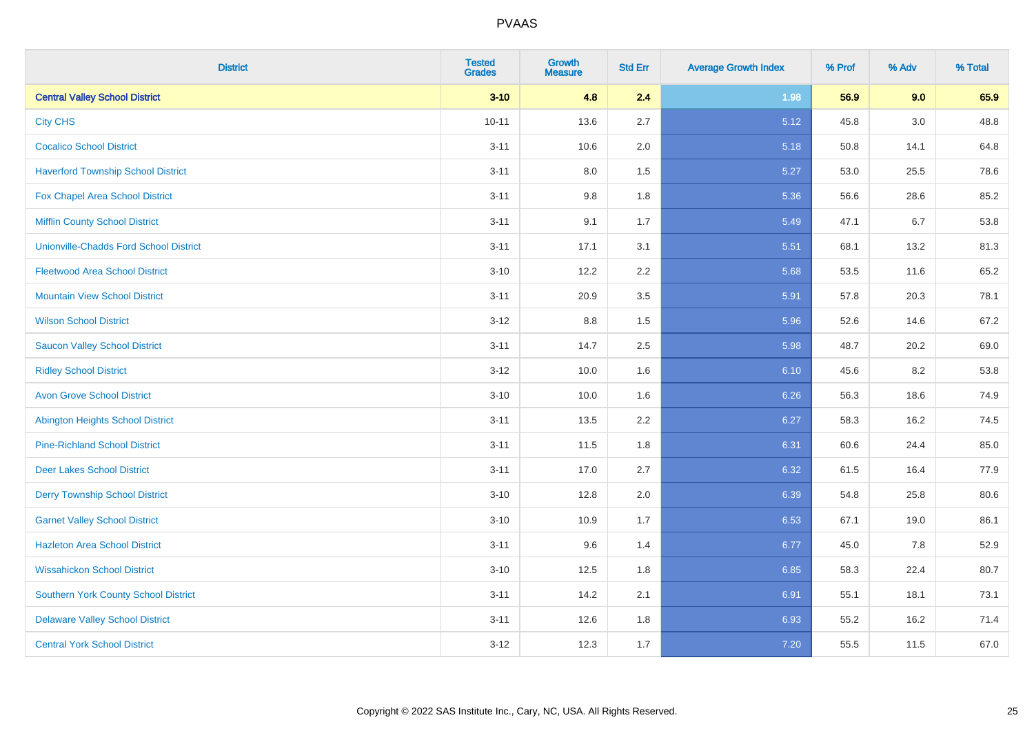| <b>District</b>                               | <b>Tested</b><br><b>Grades</b> | <b>Growth</b><br><b>Measure</b> | <b>Std Err</b> | <b>Average Growth Index</b> | % Prof | % Adv | % Total |
|-----------------------------------------------|--------------------------------|---------------------------------|----------------|-----------------------------|--------|-------|---------|
| <b>Central Valley School District</b>         | $3 - 10$                       | 4.8                             | 2.4            | 1.98                        | 56.9   | 9.0   | 65.9    |
| <b>City CHS</b>                               | $10 - 11$                      | 13.6                            | 2.7            | 5.12                        | 45.8   | 3.0   | 48.8    |
| <b>Cocalico School District</b>               | $3 - 11$                       | 10.6                            | 2.0            | 5.18                        | 50.8   | 14.1  | 64.8    |
| <b>Haverford Township School District</b>     | $3 - 11$                       | $8.0\,$                         | 1.5            | 5.27                        | 53.0   | 25.5  | 78.6    |
| Fox Chapel Area School District               | $3 - 11$                       | 9.8                             | 1.8            | 5.36                        | 56.6   | 28.6  | 85.2    |
| <b>Mifflin County School District</b>         | $3 - 11$                       | 9.1                             | 1.7            | 5.49                        | 47.1   | 6.7   | 53.8    |
| <b>Unionville-Chadds Ford School District</b> | $3 - 11$                       | 17.1                            | 3.1            | 5.51                        | 68.1   | 13.2  | 81.3    |
| <b>Fleetwood Area School District</b>         | $3 - 10$                       | 12.2                            | 2.2            | 5.68                        | 53.5   | 11.6  | 65.2    |
| <b>Mountain View School District</b>          | $3 - 11$                       | 20.9                            | 3.5            | 5.91                        | 57.8   | 20.3  | 78.1    |
| <b>Wilson School District</b>                 | $3 - 12$                       | 8.8                             | 1.5            | 5.96                        | 52.6   | 14.6  | 67.2    |
| <b>Saucon Valley School District</b>          | $3 - 11$                       | 14.7                            | 2.5            | 5.98                        | 48.7   | 20.2  | 69.0    |
| <b>Ridley School District</b>                 | $3 - 12$                       | 10.0                            | 1.6            | 6.10                        | 45.6   | 8.2   | 53.8    |
| <b>Avon Grove School District</b>             | $3 - 10$                       | 10.0                            | 1.6            | 6.26                        | 56.3   | 18.6  | 74.9    |
| <b>Abington Heights School District</b>       | $3 - 11$                       | 13.5                            | 2.2            | 6.27                        | 58.3   | 16.2  | 74.5    |
| <b>Pine-Richland School District</b>          | $3 - 11$                       | 11.5                            | 1.8            | 6.31                        | 60.6   | 24.4  | 85.0    |
| <b>Deer Lakes School District</b>             | $3 - 11$                       | 17.0                            | 2.7            | 6.32                        | 61.5   | 16.4  | 77.9    |
| <b>Derry Township School District</b>         | $3 - 10$                       | 12.8                            | 2.0            | 6.39                        | 54.8   | 25.8  | 80.6    |
| <b>Garnet Valley School District</b>          | $3 - 10$                       | 10.9                            | 1.7            | 6.53                        | 67.1   | 19.0  | 86.1    |
| <b>Hazleton Area School District</b>          | $3 - 11$                       | 9.6                             | 1.4            | 6.77                        | 45.0   | 7.8   | 52.9    |
| <b>Wissahickon School District</b>            | $3 - 10$                       | 12.5                            | 1.8            | 6.85                        | 58.3   | 22.4  | 80.7    |
| <b>Southern York County School District</b>   | $3 - 11$                       | 14.2                            | 2.1            | 6.91                        | 55.1   | 18.1  | 73.1    |
| <b>Delaware Valley School District</b>        | $3 - 11$                       | 12.6                            | 1.8            | 6.93                        | 55.2   | 16.2  | 71.4    |
| <b>Central York School District</b>           | $3 - 12$                       | 12.3                            | 1.7            | 7.20                        | 55.5   | 11.5  | 67.0    |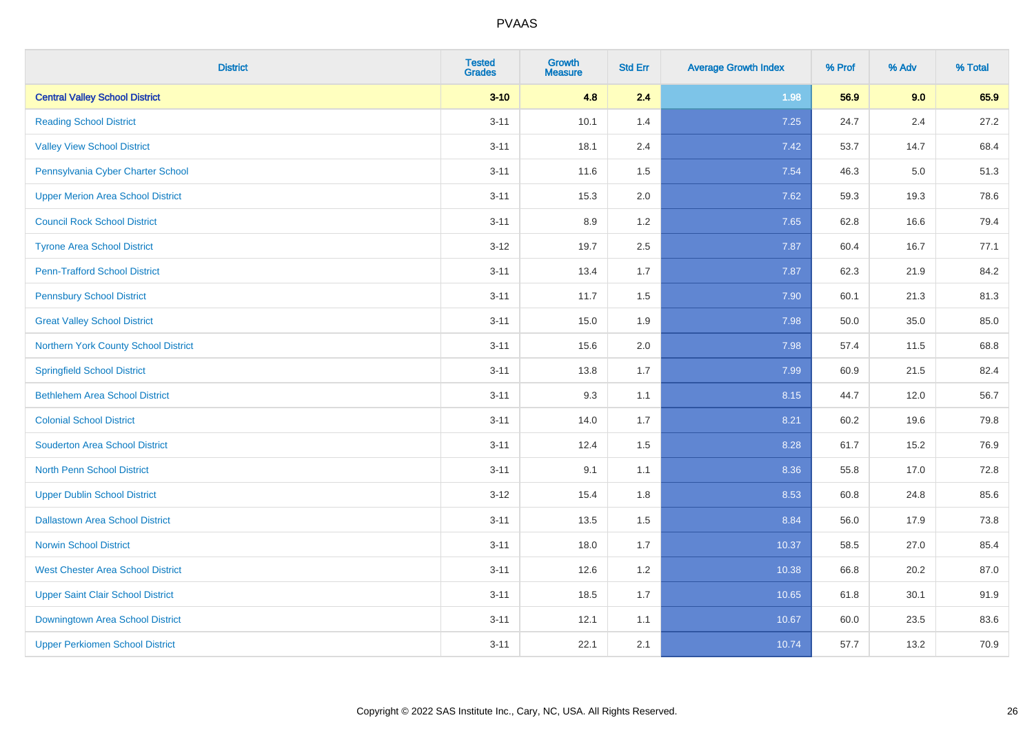| <b>District</b>                          | <b>Tested</b><br><b>Grades</b> | <b>Growth</b><br><b>Measure</b> | <b>Std Err</b> | <b>Average Growth Index</b> | % Prof | % Adv | % Total |
|------------------------------------------|--------------------------------|---------------------------------|----------------|-----------------------------|--------|-------|---------|
| <b>Central Valley School District</b>    | $3 - 10$                       | 4.8                             | 2.4            | 1.98                        | 56.9   | 9.0   | 65.9    |
| <b>Reading School District</b>           | $3 - 11$                       | 10.1                            | 1.4            | 7.25                        | 24.7   | 2.4   | 27.2    |
| <b>Valley View School District</b>       | $3 - 11$                       | 18.1                            | 2.4            | 7.42                        | 53.7   | 14.7  | 68.4    |
| Pennsylvania Cyber Charter School        | $3 - 11$                       | 11.6                            | 1.5            | 7.54                        | 46.3   | 5.0   | 51.3    |
| <b>Upper Merion Area School District</b> | $3 - 11$                       | 15.3                            | 2.0            | 7.62                        | 59.3   | 19.3  | 78.6    |
| <b>Council Rock School District</b>      | $3 - 11$                       | 8.9                             | 1.2            | 7.65                        | 62.8   | 16.6  | 79.4    |
| <b>Tyrone Area School District</b>       | $3-12$                         | 19.7                            | 2.5            | 7.87                        | 60.4   | 16.7  | 77.1    |
| <b>Penn-Trafford School District</b>     | $3 - 11$                       | 13.4                            | 1.7            | 7.87                        | 62.3   | 21.9  | 84.2    |
| <b>Pennsbury School District</b>         | $3 - 11$                       | 11.7                            | 1.5            | 7.90                        | 60.1   | 21.3  | 81.3    |
| <b>Great Valley School District</b>      | $3 - 11$                       | 15.0                            | 1.9            | 7.98                        | 50.0   | 35.0  | 85.0    |
| Northern York County School District     | $3 - 11$                       | 15.6                            | 2.0            | 7.98                        | 57.4   | 11.5  | 68.8    |
| <b>Springfield School District</b>       | $3 - 11$                       | 13.8                            | 1.7            | 7.99                        | 60.9   | 21.5  | 82.4    |
| <b>Bethlehem Area School District</b>    | $3 - 11$                       | 9.3                             | 1.1            | 8.15                        | 44.7   | 12.0  | 56.7    |
| <b>Colonial School District</b>          | $3 - 11$                       | 14.0                            | 1.7            | 8.21                        | 60.2   | 19.6  | 79.8    |
| <b>Souderton Area School District</b>    | $3 - 11$                       | 12.4                            | 1.5            | 8.28                        | 61.7   | 15.2  | 76.9    |
| <b>North Penn School District</b>        | $3 - 11$                       | 9.1                             | 1.1            | 8.36                        | 55.8   | 17.0  | 72.8    |
| <b>Upper Dublin School District</b>      | $3-12$                         | 15.4                            | 1.8            | 8.53                        | 60.8   | 24.8  | 85.6    |
| <b>Dallastown Area School District</b>   | $3 - 11$                       | 13.5                            | 1.5            | 8.84                        | 56.0   | 17.9  | 73.8    |
| <b>Norwin School District</b>            | $3 - 11$                       | 18.0                            | 1.7            | 10.37                       | 58.5   | 27.0  | 85.4    |
| <b>West Chester Area School District</b> | $3 - 11$                       | 12.6                            | 1.2            | 10.38                       | 66.8   | 20.2  | 87.0    |
| <b>Upper Saint Clair School District</b> | $3 - 11$                       | 18.5                            | 1.7            | 10.65                       | 61.8   | 30.1  | 91.9    |
| Downingtown Area School District         | $3 - 11$                       | 12.1                            | 1.1            | 10.67                       | 60.0   | 23.5  | 83.6    |
| <b>Upper Perkiomen School District</b>   | $3 - 11$                       | 22.1                            | 2.1            | 10.74                       | 57.7   | 13.2  | 70.9    |